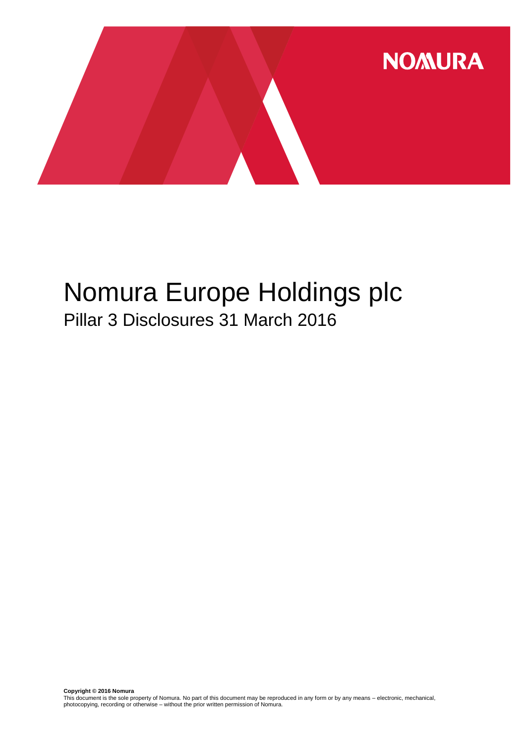

# Nomura Europe Holdings plc Pillar 3 Disclosures 31 March 2016

**Copyright © 2016 Nomura**<br>This document is the sole property of Nomura. No part of this document may be reproduced in any form or by any means – electronic, mechanical,<br>photocopying, recording or otherwise – without the pr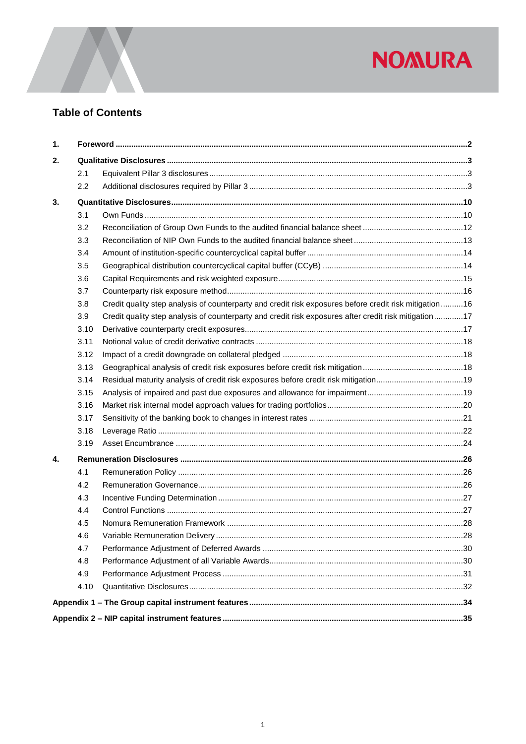

# **Table of Contents**

| 1. |      |                                                                                                        |      |  |  |  |  |  |
|----|------|--------------------------------------------------------------------------------------------------------|------|--|--|--|--|--|
| 2. |      |                                                                                                        |      |  |  |  |  |  |
|    | 2.1  |                                                                                                        |      |  |  |  |  |  |
|    | 2.2  |                                                                                                        |      |  |  |  |  |  |
| 3. |      |                                                                                                        |      |  |  |  |  |  |
|    | 3.1  |                                                                                                        |      |  |  |  |  |  |
|    | 3.2  |                                                                                                        |      |  |  |  |  |  |
|    | 3.3  |                                                                                                        |      |  |  |  |  |  |
|    | 3.4  |                                                                                                        |      |  |  |  |  |  |
|    | 3.5  |                                                                                                        |      |  |  |  |  |  |
|    | 3.6  |                                                                                                        |      |  |  |  |  |  |
|    | 3.7  |                                                                                                        |      |  |  |  |  |  |
|    | 3.8  | Credit quality step analysis of counterparty and credit risk exposures before credit risk mitigation16 |      |  |  |  |  |  |
|    | 3.9  | Credit quality step analysis of counterparty and credit risk exposures after credit risk mitigation17  |      |  |  |  |  |  |
|    | 3.10 |                                                                                                        |      |  |  |  |  |  |
|    | 3.11 |                                                                                                        |      |  |  |  |  |  |
|    | 3.12 |                                                                                                        |      |  |  |  |  |  |
|    | 3.13 |                                                                                                        |      |  |  |  |  |  |
|    | 3.14 | Residual maturity analysis of credit risk exposures before credit risk mitigation19                    |      |  |  |  |  |  |
|    | 3.15 |                                                                                                        |      |  |  |  |  |  |
|    | 3.16 |                                                                                                        |      |  |  |  |  |  |
|    | 3.17 |                                                                                                        |      |  |  |  |  |  |
|    | 3.18 |                                                                                                        |      |  |  |  |  |  |
|    | 3.19 |                                                                                                        |      |  |  |  |  |  |
| 4. |      |                                                                                                        |      |  |  |  |  |  |
|    | 4.1  |                                                                                                        |      |  |  |  |  |  |
|    | 4.2  |                                                                                                        |      |  |  |  |  |  |
|    | 4.3  |                                                                                                        |      |  |  |  |  |  |
|    | 4.4  |                                                                                                        |      |  |  |  |  |  |
|    | 4.5  |                                                                                                        |      |  |  |  |  |  |
|    | 4.6  |                                                                                                        | 0.28 |  |  |  |  |  |
|    | 4.7  |                                                                                                        |      |  |  |  |  |  |
|    | 4.8  |                                                                                                        |      |  |  |  |  |  |
|    | 4.9  |                                                                                                        |      |  |  |  |  |  |
|    | 4.10 |                                                                                                        |      |  |  |  |  |  |
|    |      |                                                                                                        |      |  |  |  |  |  |
|    |      |                                                                                                        |      |  |  |  |  |  |
|    |      |                                                                                                        |      |  |  |  |  |  |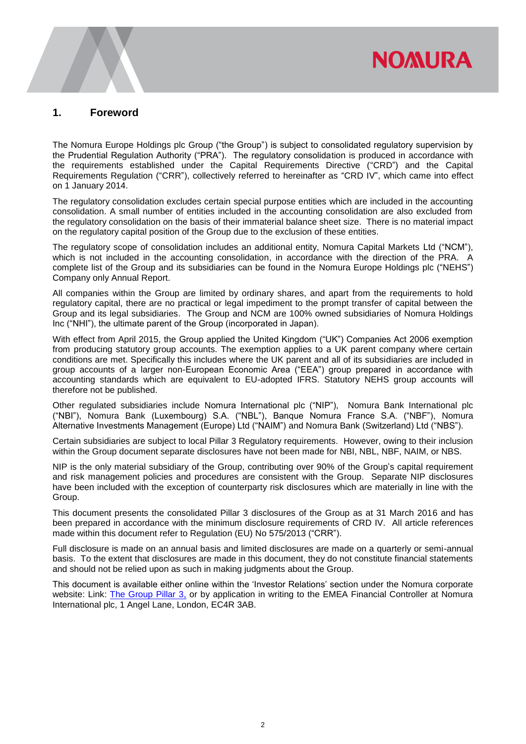# <span id="page-2-0"></span>**1. Foreword**

The Nomura Europe Holdings plc Group ("the Group") is subject to consolidated regulatory supervision by the Prudential Regulation Authority ("PRA"). The regulatory consolidation is produced in accordance with the requirements established under the Capital Requirements Directive ("CRD") and the Capital Requirements Regulation ("CRR"), collectively referred to hereinafter as "CRD IV", which came into effect on 1 January 2014.

**NOMURA** 

The regulatory consolidation excludes certain special purpose entities which are included in the accounting consolidation. A small number of entities included in the accounting consolidation are also excluded from the regulatory consolidation on the basis of their immaterial balance sheet size. There is no material impact on the regulatory capital position of the Group due to the exclusion of these entities.

The regulatory scope of consolidation includes an additional entity, Nomura Capital Markets Ltd ("NCM"), which is not included in the accounting consolidation, in accordance with the direction of the PRA. A complete list of the Group and its subsidiaries can be found in the Nomura Europe Holdings plc ("NEHS") Company only Annual Report.

All companies within the Group are limited by ordinary shares, and apart from the requirements to hold regulatory capital, there are no practical or legal impediment to the prompt transfer of capital between the Group and its legal subsidiaries. The Group and NCM are 100% owned subsidiaries of Nomura Holdings Inc ("NHI"), the ultimate parent of the Group (incorporated in Japan).

With effect from April 2015, the Group applied the United Kingdom ("UK") Companies Act 2006 exemption from producing statutory group accounts. The exemption applies to a UK parent company where certain conditions are met. Specifically this includes where the UK parent and all of its subsidiaries are included in group accounts of a larger non-European Economic Area ("EEA") group prepared in accordance with accounting standards which are equivalent to EU-adopted IFRS. Statutory NEHS group accounts will therefore not be published.

Other regulated subsidiaries include Nomura International plc ("NIP"), Nomura Bank International plc ("NBI"), Nomura Bank (Luxembourg) S.A. ("NBL"), Banque Nomura France S.A. ("NBF"), Nomura Alternative Investments Management (Europe) Ltd ("NAIM") and Nomura Bank (Switzerland) Ltd ("NBS").

Certain subsidiaries are subject to local Pillar 3 Regulatory requirements. However, owing to their inclusion within the Group document separate disclosures have not been made for NBI, NBL, NBF, NAIM, or NBS.

NIP is the only material subsidiary of the Group, contributing over 90% of the Group's capital requirement and risk management policies and procedures are consistent with the Group. Separate NIP disclosures have been included with the exception of counterparty risk disclosures which are materially in line with the Group.

This document presents the consolidated Pillar 3 disclosures of the Group as at 31 March 2016 and has been prepared in accordance with the minimum disclosure requirements of CRD IV. All article references made within this document refer to Regulation (EU) No 575/2013 ("CRR").

Full disclosure is made on an annual basis and limited disclosures are made on a quarterly or semi-annual basis. To the extent that disclosures are made in this document, they do not constitute financial statements and should not be relied upon as such in making judgments about the Group.

This document is available either online within the 'Investor Relations' section under the Nomura corporate website: Link: [The Group Pillar 3,](https://www.nomuranow.com/portal/site/nnextranet/en/regulatory-disclosures/) or by application in writing to the EMEA Financial Controller at Nomura International plc, 1 Angel Lane, London, EC4R 3AB.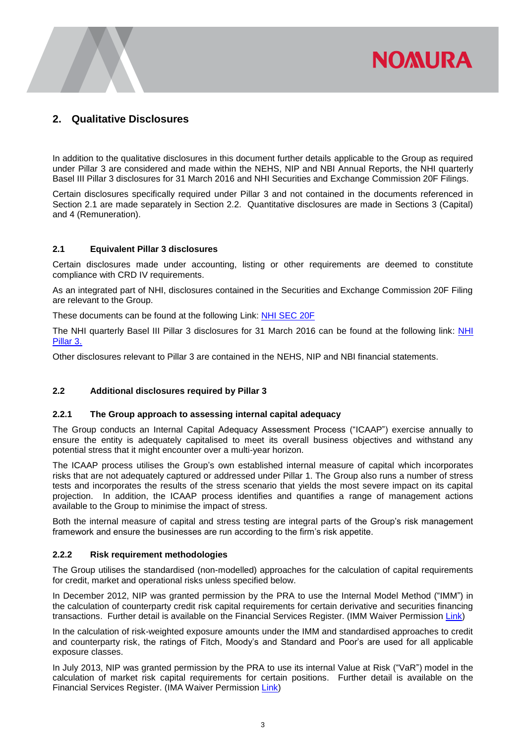# <span id="page-3-0"></span>**2. Qualitative Disclosures**

In addition to the qualitative disclosures in this document further details applicable to the Group as required under Pillar 3 are considered and made within the NEHS, NIP and NBI Annual Reports, the NHI quarterly Basel III Pillar 3 disclosures for 31 March 2016 and NHI Securities and Exchange Commission 20F Filings.

**NOMURA** 

Certain disclosures specifically required under Pillar 3 and not contained in the documents referenced in Section 2.1 are made separately in Section 2.2. Quantitative disclosures are made in Sections 3 (Capital) and 4 (Remuneration).

# <span id="page-3-1"></span>**2.1 Equivalent Pillar 3 disclosures**

Certain disclosures made under accounting, listing or other requirements are deemed to constitute compliance with CRD IV requirements.

As an integrated part of NHI, disclosures contained in the Securities and Exchange Commission 20F Filing are relevant to the Group.

These documents can be found at the following Link: [NHI SEC 20F](http://www.nomuraholdings.com/investor/library/sec/index.html)

The [NHI](http://www.nomuraholdings.com/investor/summary/highlight/ratio.html) quarterly Basel III Pillar 3 disclosures for 31 March 2016 can be found at the following link: NHI [Pillar 3.](http://www.nomuraholdings.com/investor/summary/highlight/ratio.html)

<span id="page-3-2"></span>Other disclosures relevant to Pillar 3 are contained in the NEHS, NIP and NBI financial statements.

# **2.2 Additional disclosures required by Pillar 3**

## **2.2.1 The Group approach to assessing internal capital adequacy**

The Group conducts an Internal Capital Adequacy Assessment Process ("ICAAP") exercise annually to ensure the entity is adequately capitalised to meet its overall business objectives and withstand any potential stress that it might encounter over a multi-year horizon.

The ICAAP process utilises the Group's own established internal measure of capital which incorporates risks that are not adequately captured or addressed under Pillar 1. The Group also runs a number of stress tests and incorporates the results of the stress scenario that yields the most severe impact on its capital projection. In addition, the ICAAP process identifies and quantifies a range of management actions available to the Group to minimise the impact of stress.

Both the internal measure of capital and stress testing are integral parts of the Group's risk management framework and ensure the businesses are run according to the firm's risk appetite.

## **2.2.2 Risk requirement methodologies**

The Group utilises the standardised (non-modelled) approaches for the calculation of capital requirements for credit, market and operational risks unless specified below.

In December 2012, NIP was granted permission by the PRA to use the Internal Model Method ("IMM") in the calculation of counterparty credit risk capital requirements for certain derivative and securities financing transactions. Further detail is available on the Financial Services Register. (IMM Waiver Permission [Link\)](https://register.fca.org.uk/servlet/servlet.FileDownload?file=00Pb0000008iRL7EAM)

In the calculation of risk-weighted exposure amounts under the IMM and standardised approaches to credit and counterparty risk, the ratings of Fitch, Moody's and Standard and Poor's are used for all applicable exposure classes.

In July 2013, NIP was granted permission by the PRA to use its internal Value at Risk ("VaR") model in the calculation of market risk capital requirements for certain positions. Further detail is available on the Financial Services Register. (IMA Waiver Permission [Link\)](https://register.fca.org.uk/servlet/servlet.FileDownload?file=00Pb000000eO83HEAS)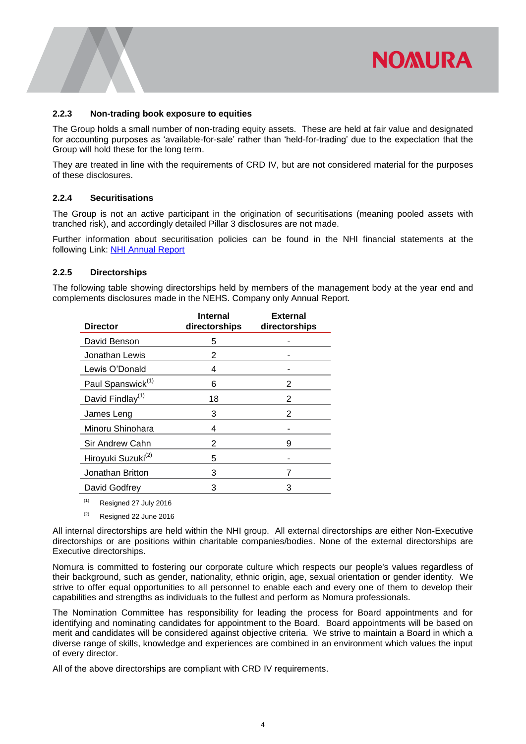#### **2.2.3 Non-trading book exposure to equities**

The Group holds a small number of non-trading equity assets. These are held at fair value and designated for accounting purposes as 'available-for-sale' rather than 'held-for-trading' due to the expectation that the Group will hold these for the long term.

They are treated in line with the requirements of CRD IV, but are not considered material for the purposes of these disclosures.

# **2.2.4 Securitisations**

The Group is not an active participant in the origination of securitisations (meaning pooled assets with tranched risk), and accordingly detailed Pillar 3 disclosures are not made.

Further information about securitisation policies can be found in the NHI financial statements at the following Link: [NHI Annual Report](http://www.nomuraholdings.com/investor/library/sec/index.html)

## **2.2.5 Directorships**

The following table showing directorships held by members of the management body at the year end and complements disclosures made in the NEHS. Company only Annual Report.

| <b>Director</b>                | <b>Internal</b><br>directorships | <b>External</b><br>directorships |
|--------------------------------|----------------------------------|----------------------------------|
| David Benson                   | 5                                |                                  |
| Jonathan Lewis                 | 2                                |                                  |
| Lewis O'Donald                 | 4                                |                                  |
| Paul Spanswick <sup>(1)</sup>  | 6                                | 2                                |
| David Findlay <sup>(1)</sup>   | 18                               | $\mathfrak{p}$                   |
| James Leng                     | 3                                | 2                                |
| Minoru Shinohara               | 4                                |                                  |
| Sir Andrew Cahn                | 2                                | 9                                |
| Hiroyuki Suzuki <sup>(2)</sup> | 5                                |                                  |
| Jonathan Britton               | 3                                | 7                                |
| David Godfrey                  | 3                                | 3                                |
|                                |                                  |                                  |

 $(1)$  Resigned 27 July 2016

 $(2)$  Resigned 22 June 2016

All internal directorships are held within the NHI group. All external directorships are either Non-Executive directorships or are positions within charitable companies/bodies. None of the external directorships are Executive directorships.

Nomura is committed to fostering our corporate culture which respects our people's values regardless of their background, such as gender, nationality, ethnic origin, age, sexual orientation or gender identity. We strive to offer equal opportunities to all personnel to enable each and every one of them to develop their capabilities and strengths as individuals to the fullest and perform as Nomura professionals.

The Nomination Committee has responsibility for leading the process for Board appointments and for identifying and nominating candidates for appointment to the Board. Board appointments will be based on merit and candidates will be considered against objective criteria. We strive to maintain a Board in which a diverse range of skills, knowledge and experiences are combined in an environment which values the input of every director.

All of the above directorships are compliant with CRD IV requirements.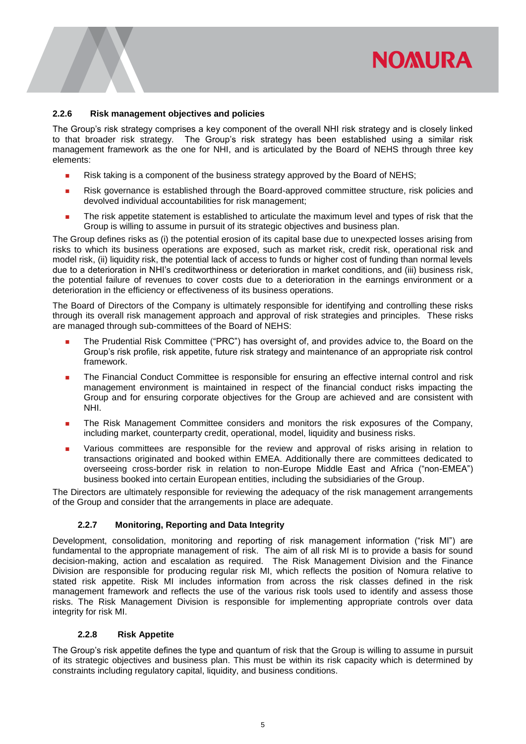# **2.2.6 Risk management objectives and policies**

The Group's risk strategy comprises a key component of the overall NHI risk strategy and is closely linked to that broader risk strategy. The Group's risk strategy has been established using a similar risk management framework as the one for NHI, and is articulated by the Board of NEHS through three key elements:

- **Risk taking is a component of the business strategy approved by the Board of NEHS;**
- Risk governance is established through the Board-approved committee structure, risk policies and devolved individual accountabilities for risk management;
- The risk appetite statement is established to articulate the maximum level and types of risk that the Group is willing to assume in pursuit of its strategic objectives and business plan.

The Group defines risks as (i) the potential erosion of its capital base due to unexpected losses arising from risks to which its business operations are exposed, such as market risk, credit risk, operational risk and model risk, (ii) liquidity risk, the potential lack of access to funds or higher cost of funding than normal levels due to a deterioration in NHI's creditworthiness or deterioration in market conditions, and (iii) business risk, the potential failure of revenues to cover costs due to a deterioration in the earnings environment or a deterioration in the efficiency or effectiveness of its business operations.

The Board of Directors of the Company is ultimately responsible for identifying and controlling these risks through its overall risk management approach and approval of risk strategies and principles. These risks are managed through sub-committees of the Board of NEHS:

- The Prudential Risk Committee ("PRC") has oversight of, and provides advice to, the Board on the Group's risk profile, risk appetite, future risk strategy and maintenance of an appropriate risk control framework.
- **The Financial Conduct Committee is responsible for ensuring an effective internal control and risk** management environment is maintained in respect of the financial conduct risks impacting the Group and for ensuring corporate objectives for the Group are achieved and are consistent with NHI.
- **The Risk Management Committee considers and monitors the risk exposures of the Company,** including market, counterparty credit, operational, model, liquidity and business risks.
- Various committees are responsible for the review and approval of risks arising in relation to transactions originated and booked within EMEA. Additionally there are committees dedicated to overseeing cross-border risk in relation to non-Europe Middle East and Africa ("non-EMEA") business booked into certain European entities, including the subsidiaries of the Group.

The Directors are ultimately responsible for reviewing the adequacy of the risk management arrangements of the Group and consider that the arrangements in place are adequate.

# **2.2.7 Monitoring, Reporting and Data Integrity**

Development, consolidation, monitoring and reporting of risk management information ("risk MI") are fundamental to the appropriate management of risk. The aim of all risk MI is to provide a basis for sound decision-making, action and escalation as required. The Risk Management Division and the Finance Division are responsible for producing regular risk MI, which reflects the position of Nomura relative to stated risk appetite. Risk MI includes information from across the risk classes defined in the risk management framework and reflects the use of the various risk tools used to identify and assess those risks. The Risk Management Division is responsible for implementing appropriate controls over data integrity for risk MI.

## **2.2.8 Risk Appetite**

The Group's risk appetite defines the type and quantum of risk that the Group is willing to assume in pursuit of its strategic objectives and business plan. This must be within its risk capacity which is determined by constraints including regulatory capital, liquidity, and business conditions.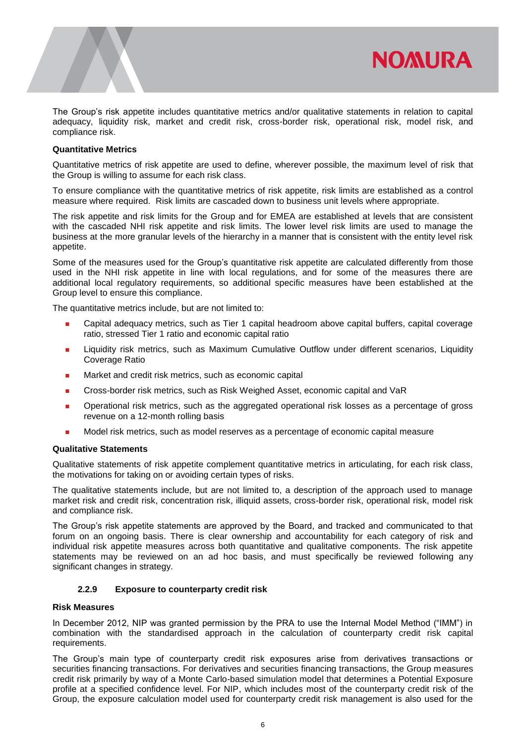

The Group's risk appetite includes quantitative metrics and/or qualitative statements in relation to capital adequacy, liquidity risk, market and credit risk, cross-border risk, operational risk, model risk, and compliance risk.

## **Quantitative Metrics**

Quantitative metrics of risk appetite are used to define, wherever possible, the maximum level of risk that the Group is willing to assume for each risk class.

To ensure compliance with the quantitative metrics of risk appetite, risk limits are established as a control measure where required. Risk limits are cascaded down to business unit levels where appropriate.

The risk appetite and risk limits for the Group and for EMEA are established at levels that are consistent with the cascaded NHI risk appetite and risk limits. The lower level risk limits are used to manage the business at the more granular levels of the hierarchy in a manner that is consistent with the entity level risk appetite.

Some of the measures used for the Group's quantitative risk appetite are calculated differently from those used in the NHI risk appetite in line with local regulations, and for some of the measures there are additional local regulatory requirements, so additional specific measures have been established at the Group level to ensure this compliance.

The quantitative metrics include, but are not limited to:

- Capital adequacy metrics, such as Tier 1 capital headroom above capital buffers, capital coverage ratio, stressed Tier 1 ratio and economic capital ratio
- Liquidity risk metrics, such as Maximum Cumulative Outflow under different scenarios, Liquidity Coverage Ratio
- **Market and credit risk metrics, such as economic capital**
- Cross-border risk metrics, such as Risk Weighed Asset, economic capital and VaR
- **Deparational risk metrics, such as the aggregated operational risk losses as a percentage of gross** revenue on a 12-month rolling basis
- Model risk metrics, such as model reserves as a percentage of economic capital measure

#### **Qualitative Statements**

Qualitative statements of risk appetite complement quantitative metrics in articulating, for each risk class, the motivations for taking on or avoiding certain types of risks.

The qualitative statements include, but are not limited to, a description of the approach used to manage market risk and credit risk, concentration risk, illiquid assets, cross-border risk, operational risk, model risk and compliance risk.

The Group's risk appetite statements are approved by the Board, and tracked and communicated to that forum on an ongoing basis. There is clear ownership and accountability for each category of risk and individual risk appetite measures across both quantitative and qualitative components. The risk appetite statements may be reviewed on an ad hoc basis, and must specifically be reviewed following any significant changes in strategy.

## **2.2.9 Exposure to counterparty credit risk**

#### **Risk Measures**

In December 2012, NIP was granted permission by the PRA to use the Internal Model Method ("IMM") in combination with the standardised approach in the calculation of counterparty credit risk capital requirements.

The Group's main type of counterparty credit risk exposures arise from derivatives transactions or securities financing transactions. For derivatives and securities financing transactions, the Group measures credit risk primarily by way of a Monte Carlo-based simulation model that determines a Potential Exposure profile at a specified confidence level. For NIP, which includes most of the counterparty credit risk of the Group, the exposure calculation model used for counterparty credit risk management is also used for the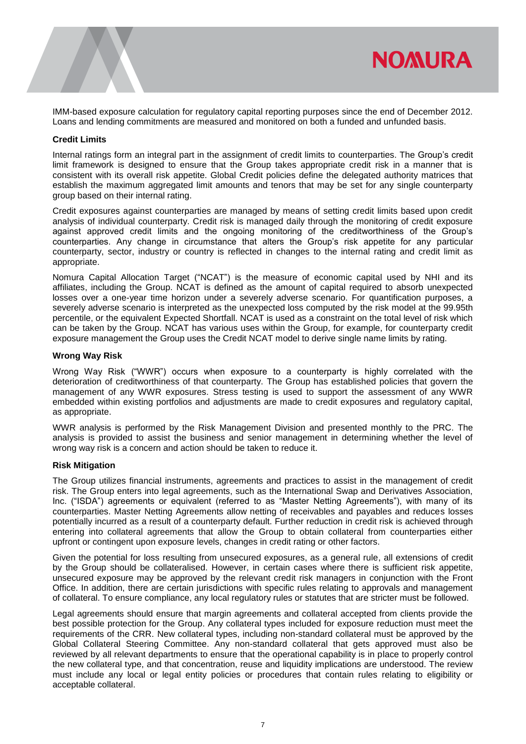

#### **Credit Limits**

Internal ratings form an integral part in the assignment of credit limits to counterparties. The Group's credit limit framework is designed to ensure that the Group takes appropriate credit risk in a manner that is consistent with its overall risk appetite. Global Credit policies define the delegated authority matrices that establish the maximum aggregated limit amounts and tenors that may be set for any single counterparty group based on their internal rating.

Credit exposures against counterparties are managed by means of setting credit limits based upon credit analysis of individual counterparty. Credit risk is managed daily through the monitoring of credit exposure against approved credit limits and the ongoing monitoring of the creditworthiness of the Group's counterparties. Any change in circumstance that alters the Group's risk appetite for any particular counterparty, sector, industry or country is reflected in changes to the internal rating and credit limit as appropriate.

Nomura Capital Allocation Target ("NCAT") is the measure of economic capital used by NHI and its affiliates, including the Group. NCAT is defined as the amount of capital required to absorb unexpected losses over a one-year time horizon under a severely adverse scenario. For quantification purposes, a severely adverse scenario is interpreted as the unexpected loss computed by the risk model at the 99.95th percentile, or the equivalent Expected Shortfall. NCAT is used as a constraint on the total level of risk which can be taken by the Group. NCAT has various uses within the Group, for example, for counterparty credit exposure management the Group uses the Credit NCAT model to derive single name limits by rating.

#### **Wrong Way Risk**

Wrong Way Risk ("WWR") occurs when exposure to a counterparty is highly correlated with the deterioration of creditworthiness of that counterparty. The Group has established policies that govern the management of any WWR exposures. Stress testing is used to support the assessment of any WWR embedded within existing portfolios and adjustments are made to credit exposures and regulatory capital, as appropriate.

WWR analysis is performed by the Risk Management Division and presented monthly to the PRC. The analysis is provided to assist the business and senior management in determining whether the level of wrong way risk is a concern and action should be taken to reduce it.

## **Risk Mitigation**

The Group utilizes financial instruments, agreements and practices to assist in the management of credit risk. The Group enters into legal agreements, such as the International Swap and Derivatives Association, Inc. ("ISDA") agreements or equivalent (referred to as "Master Netting Agreements"), with many of its counterparties. Master Netting Agreements allow netting of receivables and payables and reduces losses potentially incurred as a result of a counterparty default. Further reduction in credit risk is achieved through entering into collateral agreements that allow the Group to obtain collateral from counterparties either upfront or contingent upon exposure levels, changes in credit rating or other factors.

Given the potential for loss resulting from unsecured exposures, as a general rule, all extensions of credit by the Group should be collateralised. However, in certain cases where there is sufficient risk appetite, unsecured exposure may be approved by the relevant credit risk managers in conjunction with the Front Office. In addition, there are certain jurisdictions with specific rules relating to approvals and management of collateral. To ensure compliance, any local regulatory rules or statutes that are stricter must be followed.

Legal agreements should ensure that margin agreements and collateral accepted from clients provide the best possible protection for the Group. Any collateral types included for exposure reduction must meet the requirements of the CRR. New collateral types, including non-standard collateral must be approved by the Global Collateral Steering Committee. Any non-standard collateral that gets approved must also be reviewed by all relevant departments to ensure that the operational capability is in place to properly control the new collateral type, and that concentration, reuse and liquidity implications are understood. The review must include any local or legal entity policies or procedures that contain rules relating to eligibility or acceptable collateral.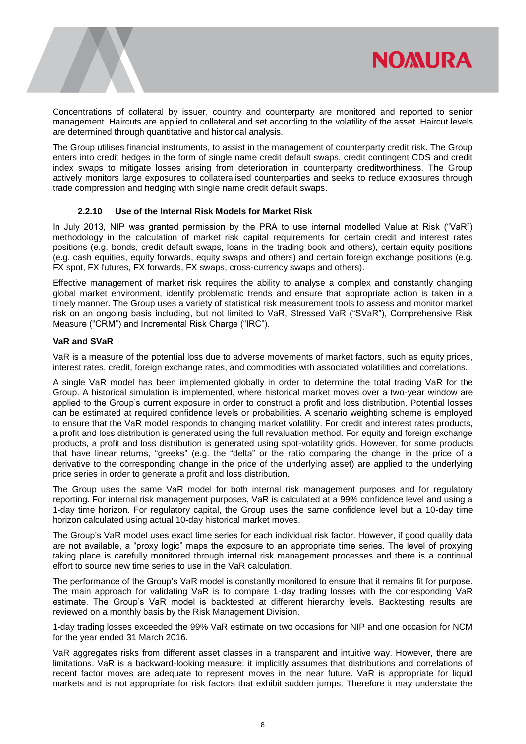

Concentrations of collateral by issuer, country and counterparty are monitored and reported to senior management. Haircuts are applied to collateral and set according to the volatility of the asset. Haircut levels are determined through quantitative and historical analysis.

The Group utilises financial instruments, to assist in the management of counterparty credit risk. The Group enters into credit hedges in the form of single name credit default swaps, credit contingent CDS and credit index swaps to mitigate losses arising from deterioration in counterparty creditworthiness. The Group actively monitors large exposures to collateralised counterparties and seeks to reduce exposures through trade compression and hedging with single name credit default swaps.

# **2.2.10 Use of the Internal Risk Models for Market Risk**

In July 2013, NIP was granted permission by the PRA to use internal modelled Value at Risk ("VaR") methodology in the calculation of market risk capital requirements for certain credit and interest rates positions (e.g. bonds, credit default swaps, loans in the trading book and others), certain equity positions (e.g. cash equities, equity forwards, equity swaps and others) and certain foreign exchange positions (e.g. FX spot, FX futures, FX forwards, FX swaps, cross-currency swaps and others).

Effective management of market risk requires the ability to analyse a complex and constantly changing global market environment, identify problematic trends and ensure that appropriate action is taken in a timely manner. The Group uses a variety of statistical risk measurement tools to assess and monitor market risk on an ongoing basis including, but not limited to VaR, Stressed VaR ("SVaR"), Comprehensive Risk Measure ("CRM") and Incremental Risk Charge ("IRC").

# **VaR and SVaR**

VaR is a measure of the potential loss due to adverse movements of market factors, such as equity prices, interest rates, credit, foreign exchange rates, and commodities with associated volatilities and correlations.

A single VaR model has been implemented globally in order to determine the total trading VaR for the Group. A historical simulation is implemented, where historical market moves over a two-year window are applied to the Group's current exposure in order to construct a profit and loss distribution. Potential losses can be estimated at required confidence levels or probabilities. A scenario weighting scheme is employed to ensure that the VaR model responds to changing market volatility. For credit and interest rates products, a profit and loss distribution is generated using the full revaluation method. For equity and foreign exchange products, a profit and loss distribution is generated using spot-volatility grids. However, for some products that have linear returns, "greeks" (e.g. the "delta" or the ratio comparing the change in the price of a derivative to the corresponding change in the price of the underlying asset) are applied to the underlying price series in order to generate a profit and loss distribution.

The Group uses the same VaR model for both internal risk management purposes and for regulatory reporting. For internal risk management purposes, VaR is calculated at a 99% confidence level and using a 1-day time horizon. For regulatory capital, the Group uses the same confidence level but a 10-day time horizon calculated using actual 10-day historical market moves.

The Group's VaR model uses exact time series for each individual risk factor. However, if good quality data are not available, a "proxy logic" maps the exposure to an appropriate time series. The level of proxying taking place is carefully monitored through internal risk management processes and there is a continual effort to source new time series to use in the VaR calculation.

The performance of the Group's VaR model is constantly monitored to ensure that it remains fit for purpose. The main approach for validating VaR is to compare 1-day trading losses with the corresponding VaR estimate. The Group's VaR model is backtested at different hierarchy levels. Backtesting results are reviewed on a monthly basis by the Risk Management Division.

1-day trading losses exceeded the 99% VaR estimate on two occasions for NIP and one occasion for NCM for the year ended 31 March 2016.

VaR aggregates risks from different asset classes in a transparent and intuitive way. However, there are limitations. VaR is a backward-looking measure: it implicitly assumes that distributions and correlations of recent factor moves are adequate to represent moves in the near future. VaR is appropriate for liquid markets and is not appropriate for risk factors that exhibit sudden jumps. Therefore it may understate the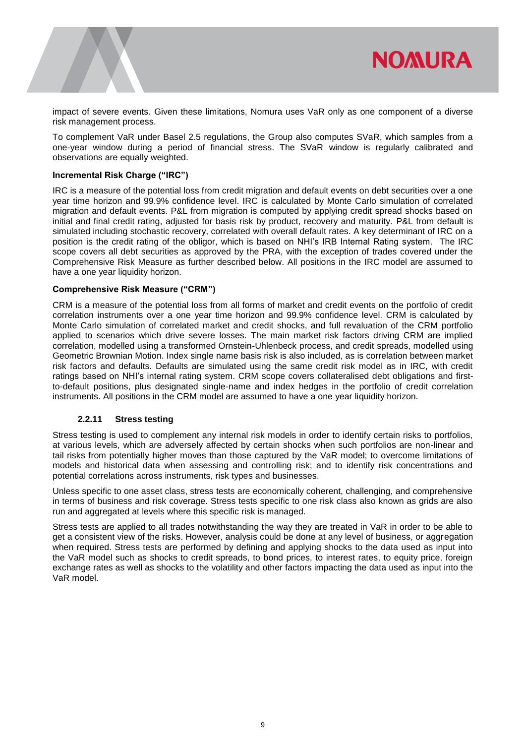

impact of severe events. Given these limitations, Nomura uses VaR only as one component of a diverse risk management process.

To complement VaR under Basel 2.5 regulations, the Group also computes SVaR, which samples from a one-year window during a period of financial stress. The SVaR window is regularly calibrated and observations are equally weighted.

#### **Incremental Risk Charge ("IRC")**

IRC is a measure of the potential loss from credit migration and default events on debt securities over a one year time horizon and 99.9% confidence level. IRC is calculated by Monte Carlo simulation of correlated migration and default events. P&L from migration is computed by applying credit spread shocks based on initial and final credit rating, adjusted for basis risk by product, recovery and maturity. P&L from default is simulated including stochastic recovery, correlated with overall default rates. A key determinant of IRC on a position is the credit rating of the obligor, which is based on NHI's IRB Internal Rating system. The IRC scope covers all debt securities as approved by the PRA, with the exception of trades covered under the Comprehensive Risk Measure as further described below. All positions in the IRC model are assumed to have a one year liquidity horizon.

## **Comprehensive Risk Measure ("CRM")**

CRM is a measure of the potential loss from all forms of market and credit events on the portfolio of credit correlation instruments over a one year time horizon and 99.9% confidence level. CRM is calculated by Monte Carlo simulation of correlated market and credit shocks, and full revaluation of the CRM portfolio applied to scenarios which drive severe losses. The main market risk factors driving CRM are implied correlation, modelled using a transformed Ornstein-Uhlenbeck process, and credit spreads, modelled using Geometric Brownian Motion. Index single name basis risk is also included, as is correlation between market risk factors and defaults. Defaults are simulated using the same credit risk model as in IRC, with credit ratings based on NHI's internal rating system. CRM scope covers collateralised debt obligations and firstto-default positions, plus designated single-name and index hedges in the portfolio of credit correlation instruments. All positions in the CRM model are assumed to have a one year liquidity horizon.

## **2.2.11 Stress testing**

Stress testing is used to complement any internal risk models in order to identify certain risks to portfolios, at various levels, which are adversely affected by certain shocks when such portfolios are non-linear and tail risks from potentially higher moves than those captured by the VaR model; to overcome limitations of models and historical data when assessing and controlling risk; and to identify risk concentrations and potential correlations across instruments, risk types and businesses.

Unless specific to one asset class, stress tests are economically coherent, challenging, and comprehensive in terms of business and risk coverage. Stress tests specific to one risk class also known as grids are also run and aggregated at levels where this specific risk is managed.

Stress tests are applied to all trades notwithstanding the way they are treated in VaR in order to be able to get a consistent view of the risks. However, analysis could be done at any level of business, or aggregation when required. Stress tests are performed by defining and applying shocks to the data used as input into the VaR model such as shocks to credit spreads, to bond prices, to interest rates, to equity price, foreign exchange rates as well as shocks to the volatility and other factors impacting the data used as input into the VaR model.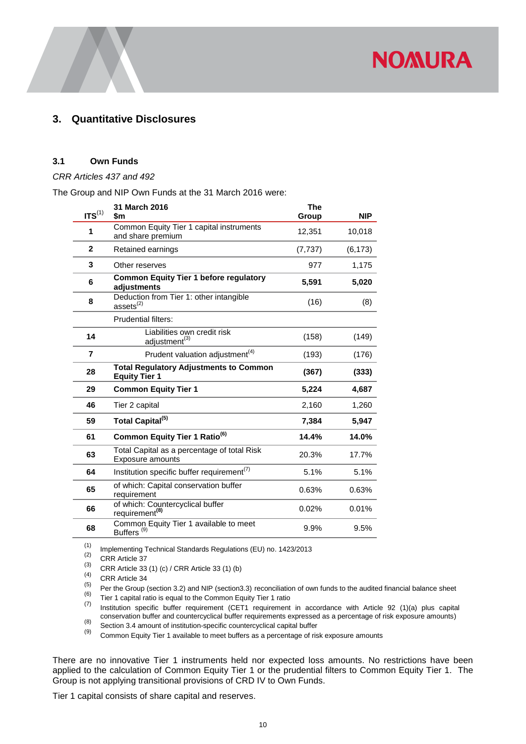# <span id="page-10-0"></span>**3. Quantitative Disclosures**

# <span id="page-10-1"></span>**3.1 Own Funds**

*CRR Articles 437 and 492* 

The Group and NIP Own Funds at the 31 March 2016 were:

|                    | 31 March 2016                                                          | <b>The</b> |            |
|--------------------|------------------------------------------------------------------------|------------|------------|
| $\text{ITS}^{(1)}$ | \$m                                                                    | Group      | <b>NIP</b> |
| 1                  | Common Equity Tier 1 capital instruments<br>and share premium          | 12,351     | 10,018     |
| $\mathbf{2}$       | Retained earnings                                                      | (7, 737)   | (6, 173)   |
| 3                  | Other reserves                                                         | 977        | 1,175      |
| 6                  | <b>Common Equity Tier 1 before regulatory</b><br>adjustments           | 5,591      | 5,020      |
| 8                  | Deduction from Tier 1: other intangible<br>assets $^{(2)}$             | (16)       | (8)        |
|                    | <b>Prudential filters:</b>                                             |            |            |
| 14                 | Liabilities own credit risk<br>adjustment <sup>(3)</sup>               | (158)      | (149)      |
| 7                  | Prudent valuation adjustment <sup>(4)</sup>                            | (193)      | (176)      |
| 28                 | <b>Total Regulatory Adjustments to Common</b><br><b>Equity Tier 1</b>  | (367)      | (333)      |
| 29                 | <b>Common Equity Tier 1</b>                                            | 5,224      | 4,687      |
| 46                 | Tier 2 capital                                                         | 2,160      | 1,260      |
| 59                 | Total Capital <sup>(5)</sup>                                           | 7,384      | 5,947      |
| 61                 | Common Equity Tier 1 Ratio <sup>(6)</sup>                              | 14.4%      | 14.0%      |
| 63                 | Total Capital as a percentage of total Risk<br><b>Exposure amounts</b> | 20.3%      | 17.7%      |
| 64                 | Institution specific buffer requirement <sup>(7)</sup>                 | 5.1%       | 5.1%       |
| 65                 | of which: Capital conservation buffer<br>requirement                   | 0.63%      | 0.63%      |
| 66                 | of which: Countercyclical buffer<br>requirement <sup>(8)</sup>         | 0.02%      | 0.01%      |
| 68                 | Common Equity Tier 1 available to meet<br>Buffers <sup>(9)</sup>       | 9.9%       | 9.5%       |

(1) Implementing Technical Standards Regulations (EU) no.  $1423/2013$ <br>(2) CBB Article 37

 $\begin{matrix}^{(2)} \\^{(3)} \end{matrix}$  CRR Article 37

(3) CRR Article 33 (1) (c) / CRR Article 33 (1) (b)  $(4)$  CBB Article 34

 $\binom{(4)}{(5)}$  CRR Article 34

(5) Per the Group (section 3.2) and NIP (section 3.3) reconciliation of own funds to the audited financial balance sheet  $(6)$  Tier 1 conital ratio is equal to the Common Equity Tier 1 ratio (b) Tier 1 capital ratio is equal to the Common Equity Tier 1 ratio  $\binom{7}{7}$  locitution appellie buffer requirement (CET1 requirement)

Institution specific buffer requirement (CET1 requirement in accordance with Article 92 (1)(a) plus capital conservation buffer and countercyclical buffer requirements expressed as a percentage of risk exposure amounts)

(8) Section 3.4 amount of institution-specific countercyclical capital buffer<br>(9) Section 3.4 amount of institution-specific countercyclical capital buffer<br>(9) Common Faulty Tior 1 available to meet buffers as a perceptag

Common Equity Tier 1 available to meet buffers as a percentage of risk exposure amounts

There are no innovative Tier 1 instruments held nor expected loss amounts. No restrictions have been applied to the calculation of Common Equity Tier 1 or the prudential filters to Common Equity Tier 1. The Group is not applying transitional provisions of CRD IV to Own Funds.

Tier 1 capital consists of share capital and reserves.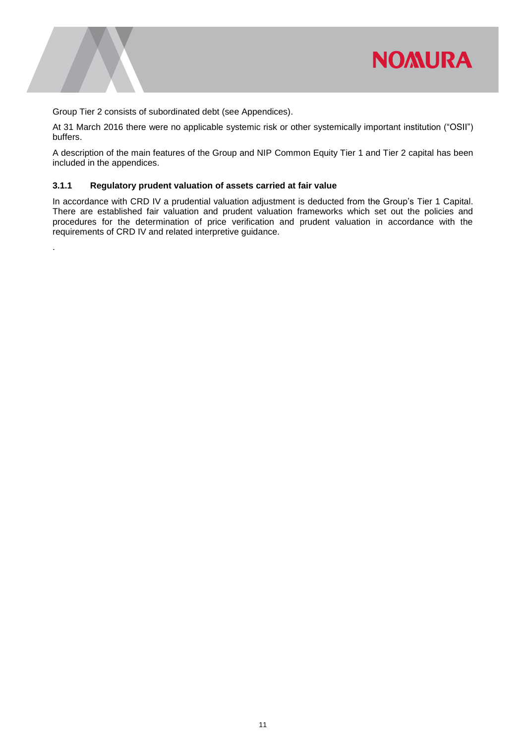

Group Tier 2 consists of subordinated debt (see Appendices).

.

At 31 March 2016 there were no applicable systemic risk or other systemically important institution ("OSII") buffers.

A description of the main features of the Group and NIP Common Equity Tier 1 and Tier 2 capital has been included in the appendices.

# **3.1.1 Regulatory prudent valuation of assets carried at fair value**

In accordance with CRD IV a prudential valuation adjustment is deducted from the Group's Tier 1 Capital. There are established fair valuation and prudent valuation frameworks which set out the policies and procedures for the determination of price verification and prudent valuation in accordance with the requirements of CRD IV and related interpretive guidance.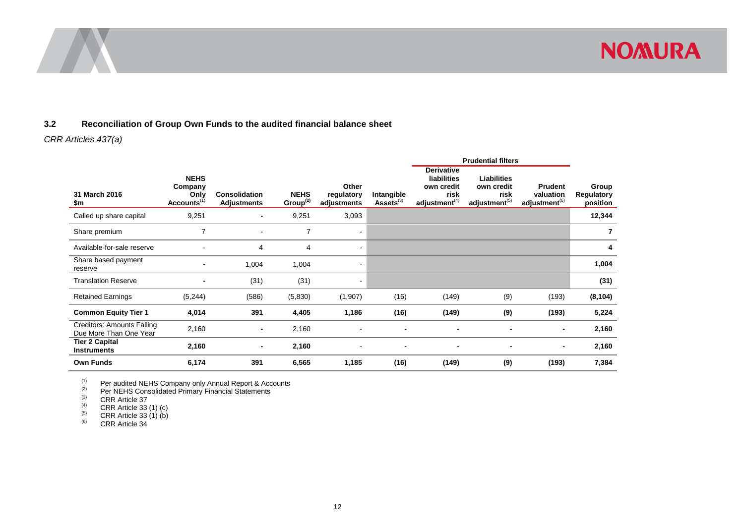



# **3.2 Reconciliation of Group Own Funds to the audited financial balance sheet**

# *CRR Articles 437(a)*

|                                                      |                                                           |                                            |                            |                                    |                              |                                                                            | <b>Prudential filters</b>                                             |                                                          |                                 |
|------------------------------------------------------|-----------------------------------------------------------|--------------------------------------------|----------------------------|------------------------------------|------------------------------|----------------------------------------------------------------------------|-----------------------------------------------------------------------|----------------------------------------------------------|---------------------------------|
| 31 March 2016<br>\$m                                 | <b>NEHS</b><br>Company<br>Only<br>Accounts <sup>(1)</sup> | <b>Consolidation</b><br><b>Adjustments</b> | <b>NEHS</b><br>Group $(2)$ | Other<br>regulatory<br>adjustments | Intangible<br>$Assets^{(3)}$ | <b>Derivative</b><br>liabilities<br>own credit<br>risk<br>adjustment $(4)$ | <b>Liabilities</b><br>own credit<br>risk<br>adjustment <sup>(5)</sup> | <b>Prudent</b><br>valuation<br>adjustment <sup>(6)</sup> | Group<br>Regulatory<br>position |
| Called up share capital                              | 9,251                                                     | $\blacksquare$                             | 9,251                      | 3,093                              |                              |                                                                            |                                                                       |                                                          | 12,344                          |
| Share premium                                        | 7                                                         |                                            | $\overline{7}$             |                                    |                              |                                                                            |                                                                       |                                                          | 7                               |
| Available-for-sale reserve                           | $\blacksquare$                                            | 4                                          | 4                          | ۰                                  |                              |                                                                            |                                                                       |                                                          | 4                               |
| Share based payment<br>reserve                       | $\blacksquare$                                            | 1,004                                      | 1,004                      |                                    |                              |                                                                            |                                                                       |                                                          | 1,004                           |
| <b>Translation Reserve</b>                           | -                                                         | (31)                                       | (31)                       |                                    |                              |                                                                            |                                                                       |                                                          | (31)                            |
| <b>Retained Earnings</b>                             | (5,244)                                                   | (586)                                      | (5,830)                    | (1,907)                            | (16)                         | (149)                                                                      | (9)                                                                   | (193)                                                    | (8, 104)                        |
| <b>Common Equity Tier 1</b>                          | 4,014                                                     | 391                                        | 4,405                      | 1,186                              | (16)                         | (149)                                                                      | (9)                                                                   | (193)                                                    | 5,224                           |
| Creditors: Amounts Falling<br>Due More Than One Year | 2,160                                                     | ٠                                          | 2,160                      |                                    |                              | $\blacksquare$                                                             |                                                                       | $\blacksquare$                                           | 2,160                           |
| <b>Tier 2 Capital</b><br><b>Instruments</b>          | 2,160                                                     | ٠                                          | 2,160                      |                                    |                              | $\blacksquare$                                                             | ٠                                                                     |                                                          | 2,160                           |
| <b>Own Funds</b>                                     | 6,174                                                     | 391                                        | 6,565                      | 1,185                              | (16)                         | (149)                                                                      | (9)                                                                   | (193)                                                    | 7,384                           |

<span id="page-12-0"></span> $(1)$  Per audited NEHS Company only Annual Report & Accounts

 $(2)$  Per NEHS Consolidated Primary Financial Statements

 $\begin{array}{cc}\n\text{(3)} & \text{CRR Article 37} \\
\text{(4)} & \text{CRR Article 33}\n\end{array}$ 

 $^{(4)}$  CRR Article 33 (1) (c)<br>
CRR Article 33 (1) (b)

 $(5)$  CRR Article 33 (1) (b)

 $<sup>(6)</sup>$  CRR Article 34</sup>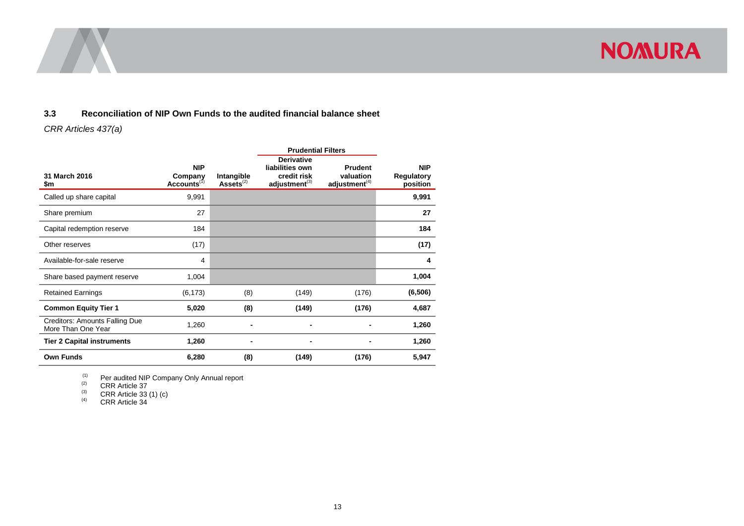



*CRR Articles 437(a)* 

|                                                      |                                                  |                               | <b>Prudential Filters</b>                                                 |                                                          |                                             |
|------------------------------------------------------|--------------------------------------------------|-------------------------------|---------------------------------------------------------------------------|----------------------------------------------------------|---------------------------------------------|
| 31 March 2016<br>\$m                                 | <b>NIP</b><br>Company<br>Accounts <sup>(1)</sup> | Intangible<br>Assets $^{(2)}$ | <b>Derivative</b><br>liabilities own<br>credit risk<br>$adjustment^{(3)}$ | <b>Prudent</b><br>valuation<br>adjustment <sup>(4)</sup> | <b>NIP</b><br><b>Regulatory</b><br>position |
| Called up share capital                              | 9,991                                            |                               |                                                                           |                                                          | 9,991                                       |
| Share premium                                        | 27                                               |                               |                                                                           |                                                          | 27                                          |
| Capital redemption reserve                           | 184                                              |                               |                                                                           |                                                          | 184                                         |
| Other reserves                                       | (17)                                             |                               |                                                                           |                                                          | (17)                                        |
| Available-for-sale reserve                           | 4                                                |                               |                                                                           |                                                          | 4                                           |
| Share based payment reserve                          | 1,004                                            |                               |                                                                           |                                                          | 1,004                                       |
| <b>Retained Earnings</b>                             | (6, 173)                                         | (8)                           | (149)                                                                     | (176)                                                    | (6, 506)                                    |
| <b>Common Equity Tier 1</b>                          | 5,020                                            | (8)                           | (149)                                                                     | (176)                                                    | 4,687                                       |
| Creditors: Amounts Falling Due<br>More Than One Year | 1,260                                            |                               |                                                                           |                                                          | 1,260                                       |
| <b>Tier 2 Capital instruments</b>                    | 1,260                                            |                               |                                                                           |                                                          | 1,260                                       |
| <b>Own Funds</b>                                     | 6,280                                            | (8)                           | (149)                                                                     | (176)                                                    | 5,947                                       |

<span id="page-13-0"></span><sup>(1)</sup> Per audited NIP Company Only Annual report

 $(2)$  CRR Article 37

 $(3)$  CRR Article 33 (1) (c)

 $(4)$  CRR Article 34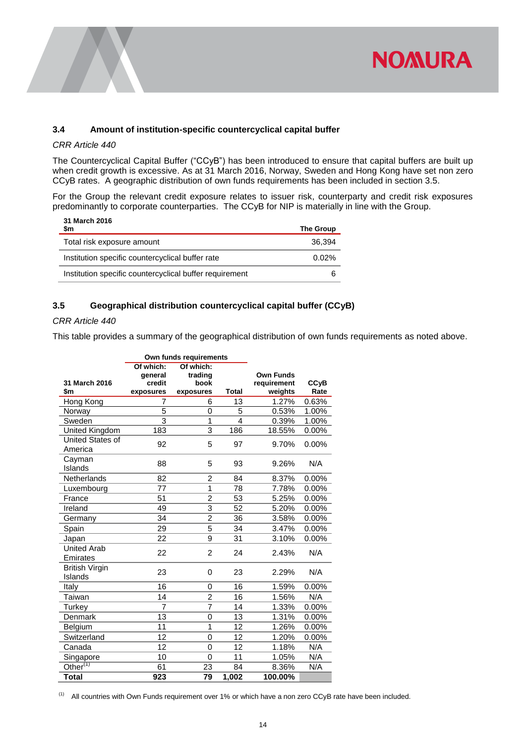

# <span id="page-14-0"></span>**3.4 Amount of institution-specific countercyclical capital buffer**

#### *CRR Article 440*

The Countercyclical Capital Buffer ("CCyB") has been introduced to ensure that capital buffers are built up when credit growth is excessive. As at 31 March 2016, Norway, Sweden and Hong Kong have set non zero CCyB rates. A geographic distribution of own funds requirements has been included in section 3.5.

For the Group the relevant credit exposure relates to issuer risk, counterparty and credit risk exposures predominantly to corporate counterparties. The CCyB for NIP is materially in line with the Group.

| 31 March 2016<br>\$m                                    | <b>The Group</b> |
|---------------------------------------------------------|------------------|
| Total risk exposure amount                              | 36.394           |
| Institution specific countercyclical buffer rate        | $0.02\%$         |
| Institution specific countercyclical buffer requirement |                  |

# <span id="page-14-1"></span>**3.5 Geographical distribution countercyclical capital buffer (CCyB)**

# *CRR Article 440*

This table provides a summary of the geographical distribution of own funds requirements as noted above.

|                                  |                                             | Own funds requirements                    |                |                                            |                                |
|----------------------------------|---------------------------------------------|-------------------------------------------|----------------|--------------------------------------------|--------------------------------|
| 31 March 2016<br>\$m             | Of which:<br>general<br>credit<br>exposures | Of which:<br>trading<br>book<br>exposures | <b>Total</b>   | <b>Own Funds</b><br>requirement<br>weights | <b>CC<sub>V</sub>B</b><br>Rate |
| Hong Kong                        | 7                                           | 6                                         | 13             | 1.27%                                      | 0.63%                          |
| Norway                           | 5                                           | 0                                         | 5              | 0.53%                                      | 1.00%                          |
| Sweden                           | 3                                           | 1                                         | $\overline{4}$ | 0.39%                                      | 1.00%                          |
| United Kingdom                   | 183                                         | 3                                         | 186            | 18.55%                                     | 0.00%                          |
| United States of<br>America      | 92                                          | 5                                         | 97             | 9.70%                                      | 0.00%                          |
| Cayman<br>Islands                | 88                                          | 5                                         | 93             | 9.26%                                      | N/A                            |
| <b>Netherlands</b>               | 82                                          | 2                                         | 84             | 8.37%                                      | 0.00%                          |
| Luxembourg                       | 77                                          | 1                                         | 78             | 7.78%                                      | 0.00%                          |
| France                           | 51                                          | $\overline{2}$                            | 53             | 5.25%                                      | 0.00%                          |
| Ireland                          | 49                                          | $\overline{3}$                            | 52             | 5.20%                                      | 0.00%                          |
| Germany                          | 34                                          | 2                                         | 36             | 3.58%                                      | 0.00%                          |
| Spain                            | 29                                          | 5                                         | 34             | 3.47%                                      | 0.00%                          |
| Japan                            | 22                                          | 9                                         | 31             | 3.10%                                      | 0.00%                          |
| <b>United Arab</b><br>Emirates   | 22                                          | $\overline{2}$                            | 24             | 2.43%                                      | N/A                            |
| <b>British Virgin</b><br>Islands | 23                                          | 0                                         | 23             | 2.29%                                      | N/A                            |
| Italy                            | 16                                          | 0                                         | 16             | 1.59%                                      | 0.00%                          |
| Taiwan                           | 14                                          | 2                                         | 16             | 1.56%                                      | N/A                            |
| Turkey                           | $\overline{7}$                              | $\overline{7}$                            | 14             | 1.33%                                      | 0.00%                          |
| Denmark                          | 13                                          | 0                                         | 13             | 1.31%                                      | 0.00%                          |
| Belgium                          | 11                                          | $\mathbf{1}$                              | 12             | 1.26%                                      | 0.00%                          |
| Switzerland                      | 12                                          | 0                                         | 12             | 1.20%                                      | 0.00%                          |
| Canada                           | 12                                          | 0                                         | 12             | 1.18%                                      | N/A                            |
| Singapore                        | 10                                          | 0                                         | 11             | 1.05%                                      | N/A                            |
| Other <sup>(1)</sup>             | 61                                          | 23                                        | 84             | 8.36%                                      | N/A                            |
| <b>Total</b>                     | 923                                         | 79                                        | 1,002          | 100.00%                                    |                                |

(1) All countries with Own Funds requirement over 1% or which have a non zero CCyB rate have been included.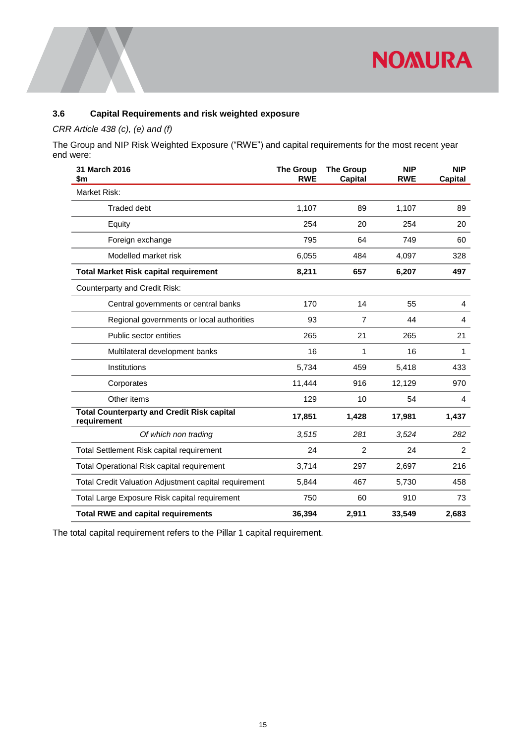

# <span id="page-15-0"></span>**3.6 Capital Requirements and risk weighted exposure**

# *CRR Article 438 (c), (e) and (f)*

The Group and NIP Risk Weighted Exposure ("RWE") and capital requirements for the most recent year end were:

| 31 March 2016<br>\$m                                             | <b>The Group</b><br><b>RWE</b> | <b>The Group</b><br><b>Capital</b> | <b>NIP</b><br><b>RWE</b> | <b>NIP</b><br>Capital |
|------------------------------------------------------------------|--------------------------------|------------------------------------|--------------------------|-----------------------|
| Market Risk:                                                     |                                |                                    |                          |                       |
| <b>Traded debt</b>                                               | 1,107                          | 89                                 | 1,107                    | 89                    |
| Equity                                                           | 254                            | 20                                 | 254                      | 20                    |
| Foreign exchange                                                 | 795                            | 64                                 | 749                      | 60                    |
| Modelled market risk                                             | 6,055                          | 484                                | 4,097                    | 328                   |
| <b>Total Market Risk capital requirement</b>                     | 8,211                          | 657                                | 6,207                    | 497                   |
| <b>Counterparty and Credit Risk:</b>                             |                                |                                    |                          |                       |
| Central governments or central banks                             | 170                            | 14                                 | 55                       | 4                     |
| Regional governments or local authorities                        | 93                             | $\overline{7}$                     | 44                       | 4                     |
| Public sector entities                                           | 265                            | 21                                 | 265                      | 21                    |
| Multilateral development banks                                   | 16                             | 1                                  | 16                       | 1                     |
| Institutions                                                     | 5,734                          | 459                                | 5,418                    | 433                   |
| Corporates                                                       | 11,444                         | 916                                | 12,129                   | 970                   |
| Other items                                                      | 129                            | 10                                 | 54                       | 4                     |
| <b>Total Counterparty and Credit Risk capital</b><br>requirement | 17,851                         | 1,428                              | 17,981                   | 1,437                 |
| Of which non trading                                             | 3,515                          | 281                                | 3,524                    | 282                   |
| Total Settlement Risk capital requirement                        | 24                             | $\overline{c}$                     | 24                       | $\overline{2}$        |
| Total Operational Risk capital requirement                       | 3,714                          | 297                                | 2,697                    | 216                   |
| Total Credit Valuation Adjustment capital requirement            | 5,844                          | 467                                | 5,730                    | 458                   |
| Total Large Exposure Risk capital requirement                    | 750                            | 60                                 | 910                      | 73                    |
| <b>Total RWE and capital requirements</b>                        | 36,394                         | 2,911                              | 33,549                   | 2,683                 |

The total capital requirement refers to the Pillar 1 capital requirement.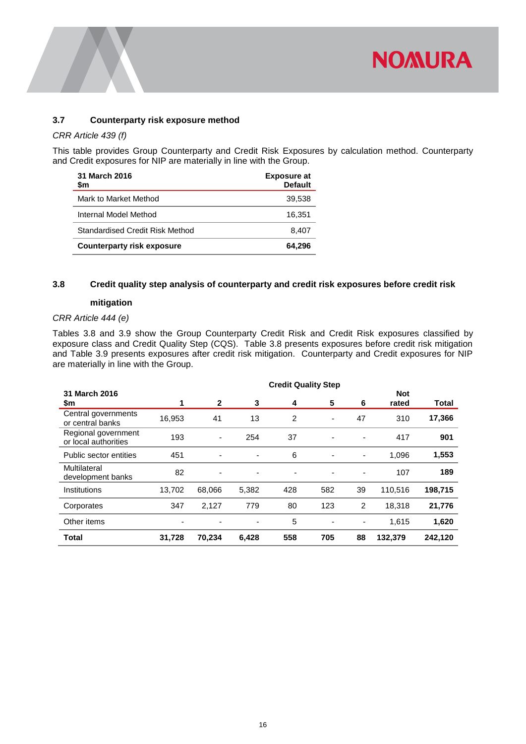

# <span id="page-16-0"></span>**3.7 Counterparty risk exposure method**

# *CRR Article 439 (f)*

This table provides Group Counterparty and Credit Risk Exposures by calculation method. Counterparty and Credit exposures for NIP are materially in line with the Group.

| 31 March 2016<br>\$m              | <b>Exposure at</b><br><b>Default</b> |
|-----------------------------------|--------------------------------------|
| Mark to Market Method             | 39.538                               |
| Internal Model Method             | 16.351                               |
| Standardised Credit Risk Method   | 8.407                                |
| <b>Counterparty risk exposure</b> | 64.296                               |

# <span id="page-16-1"></span>**3.8 Credit quality step analysis of counterparty and credit risk exposures before credit risk**

#### **mitigation**

# *CRR Article 444 (e)*

Tables 3.8 and 3.9 show the Group Counterparty Credit Risk and Credit Risk exposures classified by exposure class and Credit Quality Step (CQS). Table 3.8 presents exposures before credit risk mitigation and Table 3.9 presents exposures after credit risk mitigation. Counterparty and Credit exposures for NIP are materially in line with the Group.

|                                             |        |                          |                |     | <b>Credit Quality Step</b> |                          |                     |         |
|---------------------------------------------|--------|--------------------------|----------------|-----|----------------------------|--------------------------|---------------------|---------|
| 31 March 2016<br>\$m                        |        | $\mathbf{2}$             | 3              | 4   | 5                          | 6                        | <b>Not</b><br>rated | Total   |
| Central governments<br>or central banks     | 16,953 | 41                       | 13             | 2   | -                          | 47                       | 310                 | 17,366  |
| Regional government<br>or local authorities | 193    | $\overline{\phantom{a}}$ | 254            | 37  | ۰                          | ٠                        | 417                 | 901     |
| Public sector entities                      | 451    | $\blacksquare$           | $\blacksquare$ | 6   | ۰                          | $\overline{\phantom{a}}$ | 1,096               | 1,553   |
| Multilateral<br>development banks           | 82     | $\blacksquare$           | -              | ۰   | ۰                          | ٠                        | 107                 | 189     |
| Institutions                                | 13,702 | 68,066                   | 5,382          | 428 | 582                        | 39                       | 110,516             | 198,715 |
| Corporates                                  | 347    | 2,127                    | 779            | 80  | 123                        | 2                        | 18,318              | 21,776  |
| Other items                                 | ٠      | ٠                        | -              | 5   | ۰                          | $\overline{\phantom{a}}$ | 1,615               | 1,620   |
| Total                                       | 31,728 | 70,234                   | 6,428          | 558 | 705                        | 88                       | 132,379             | 242,120 |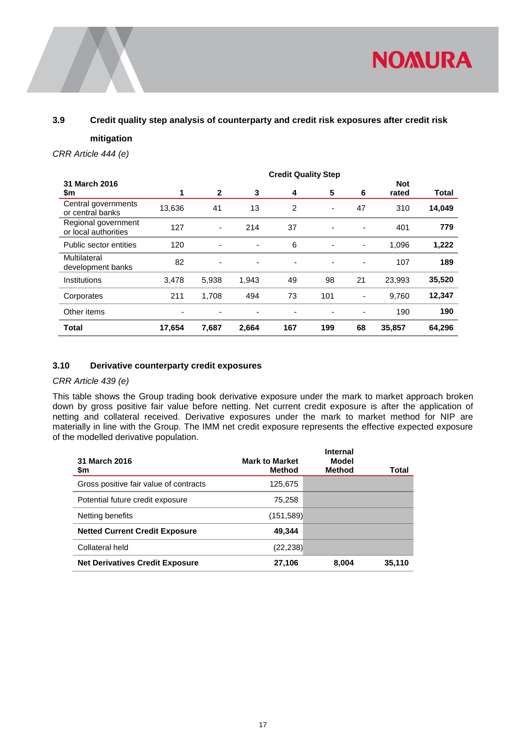

# <span id="page-17-0"></span>**3.9 Credit quality step analysis of counterparty and credit risk exposures after credit risk**

#### **mitigation**

*CRR Article 444 (e)*

|                                             |        |                          |                          |     | <b>Credit Quality Step</b> |                |                     |        |
|---------------------------------------------|--------|--------------------------|--------------------------|-----|----------------------------|----------------|---------------------|--------|
| 31 March 2016<br>\$m                        |        | $\mathbf{2}$             | 3                        | 4   | 5                          | 6              | <b>Not</b><br>rated | Total  |
| Central governments<br>or central banks     | 13,636 | 41                       | 13                       | 2   | $\overline{\phantom{a}}$   | 47             | 310                 | 14,049 |
| Regional government<br>or local authorities | 127    | $\overline{\phantom{a}}$ | 214                      | 37  | ٠                          | ٠              | 401                 | 779    |
| Public sector entities                      | 120    | $\overline{\phantom{a}}$ | $\overline{\phantom{a}}$ | 6   | ٠                          | ٠              | 1,096               | 1,222  |
| Multilateral<br>development banks           | 82     | ٠                        | $\overline{\phantom{a}}$ | ٠   | $\overline{\phantom{a}}$   | ٠              | 107                 | 189    |
| Institutions                                | 3,478  | 5,938                    | 1,943                    | 49  | 98                         | 21             | 23,993              | 35,520 |
| Corporates                                  | 211    | 1,708                    | 494                      | 73  | 101                        | $\overline{a}$ | 9.760               | 12,347 |
| Other items                                 | ۰      | ۰                        | ۰                        | ٠   | ۰                          |                | 190                 | 190    |
| Total                                       | 17,654 | 7,687                    | 2,664                    | 167 | 199                        | 68             | 35,857              | 64,296 |

## <span id="page-17-1"></span>**3.10 Derivative counterparty credit exposures**

# *CRR Article 439 (e)*

This table shows the Group trading book derivative exposure under the mark to market approach broken down by gross positive fair value before netting. Net current credit exposure is after the application of netting and collateral received. Derivative exposures under the mark to market method for NIP are materially in line with the Group. The IMM net credit exposure represents the effective expected exposure of the modelled derivative population.

| 31 March 2016<br>\$m                   | <b>Mark to Market</b><br>Method | <b>Internal</b><br>Model<br><b>Method</b> | Total  |
|----------------------------------------|---------------------------------|-------------------------------------------|--------|
| Gross positive fair value of contracts | 125,675                         |                                           |        |
| Potential future credit exposure       | 75.258                          |                                           |        |
| Netting benefits                       | (151, 589)                      |                                           |        |
| <b>Netted Current Credit Exposure</b>  | 49.344                          |                                           |        |
| Collateral held                        | (22, 238)                       |                                           |        |
| <b>Net Derivatives Credit Exposure</b> | 27,106                          | 8.004                                     | 35.110 |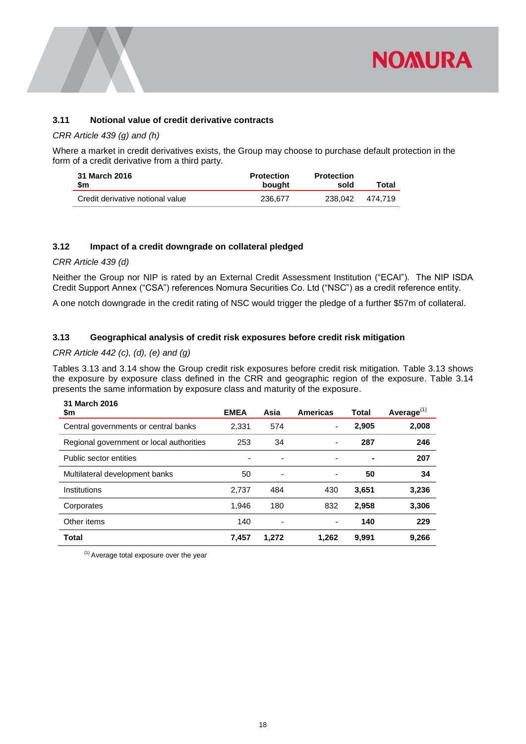

# <span id="page-18-0"></span>**3.11 Notional value of credit derivative contracts**

# *CRR Article 439 (g) and (h)*

Where a market in credit derivatives exists, the Group may choose to purchase default protection in the form of a credit derivative from a third party.

| 31 March 2016                    | <b>Protection</b> | <b>Protection</b> | Total   |
|----------------------------------|-------------------|-------------------|---------|
| \$m                              | bought            | sold              |         |
| Credit derivative notional value | 236.677           | 238.042           | 474.719 |

# <span id="page-18-1"></span>**3.12 Impact of a credit downgrade on collateral pledged**

## *CRR Article 439 (d)*

Neither the Group nor NIP is rated by an External Credit Assessment Institution ("ECAI"). The NIP ISDA Credit Support Annex ("CSA") references Nomura Securities Co. Ltd ("NSC") as a credit reference entity.

<span id="page-18-2"></span>A one notch downgrade in the credit rating of NSC would trigger the pledge of a further \$57m of collateral.

# **3.13 Geographical analysis of credit risk exposures before credit risk mitigation**

# *CRR Article 442 (c), (d), (e) and (g)*

Tables 3.13 and 3.14 show the Group credit risk exposures before credit risk mitigation. Table 3.13 shows the exposure by exposure class defined in the CRR and geographic region of the exposure. Table 3.14 presents the same information by exposure class and maturity of the exposure.

| 31 March 2016<br>\$m                     | <b>EMEA</b> | Asia                     | <b>Americas</b> | Total | Average $(1)$ |
|------------------------------------------|-------------|--------------------------|-----------------|-------|---------------|
| Central governments or central banks     | 2,331       | 574                      | ۰               | 2,905 | 2,008         |
| Regional government or local authorities | 253         | 34                       | -               | 287   | 246           |
| Public sector entities                   |             | $\overline{\phantom{a}}$ | ۰               | ٠     | 207           |
| Multilateral development banks           | 50          | $\overline{\phantom{a}}$ | ۰               | 50    | 34            |
| Institutions                             | 2,737       | 484                      | 430             | 3,651 | 3,236         |
| Corporates                               | 1,946       | 180                      | 832             | 2,958 | 3,306         |
| Other items                              | 140         | $\overline{\phantom{a}}$ | ۰               | 140   | 229           |
| <b>Total</b>                             | 7,457       | 1,272                    | 1.262           | 9,991 | 9,266         |

 $<sup>(1)</sup>$  Average total exposure over the year</sup>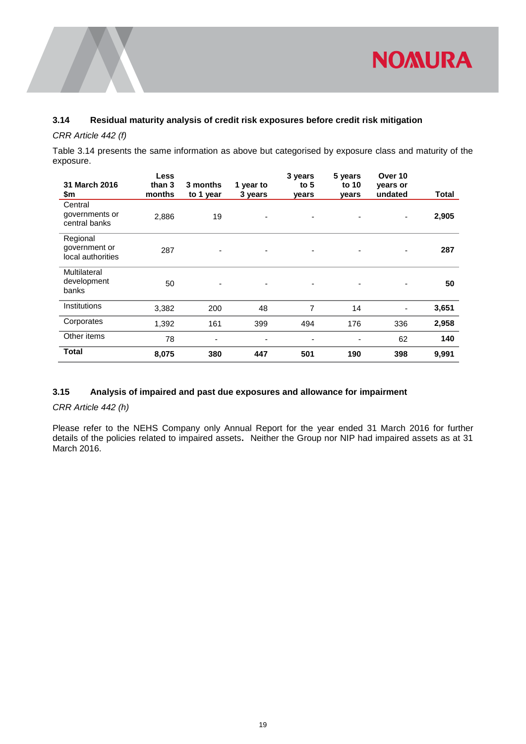

# <span id="page-19-0"></span>**3.14 Residual maturity analysis of credit risk exposures before credit risk mitigation**

# *CRR Article 442 (f)*

Table 3.14 presents the same information as above but categorised by exposure class and maturity of the exposure.

|                                                | Less             |                       |                      | 3 years         | 5 years        | Over 10             |       |
|------------------------------------------------|------------------|-----------------------|----------------------|-----------------|----------------|---------------------|-------|
| 31 March 2016<br>\$m                           | than 3<br>months | 3 months<br>to 1 year | 1 year to<br>3 years | to $5$<br>years | to 10<br>years | years or<br>undated | Total |
| Central<br>governments or<br>central banks     | 2,886            | 19                    |                      | ٠               |                | ۰                   | 2,905 |
| Regional<br>government or<br>local authorities | 287              |                       |                      | ٠               |                |                     | 287   |
| Multilateral<br>development<br>banks           | 50               |                       |                      |                 |                |                     | 50    |
| Institutions                                   | 3,382            | 200                   | 48                   | 7               | 14             |                     | 3,651 |
| Corporates                                     | 1,392            | 161                   | 399                  | 494             | 176            | 336                 | 2,958 |
| Other items                                    | 78               | ٠                     |                      |                 |                | 62                  | 140   |
| <b>Total</b>                                   | 8,075            | 380                   | 447                  | 501             | 190            | 398                 | 9,991 |

# <span id="page-19-1"></span>**3.15 Analysis of impaired and past due exposures and allowance for impairment**

*CRR Article 442 (h)*

Please refer to the NEHS Company only Annual Report for the year ended 31 March 2016 for further details of the policies related to impaired assets**.** Neither the Group nor NIP had impaired assets as at 31 March 2016.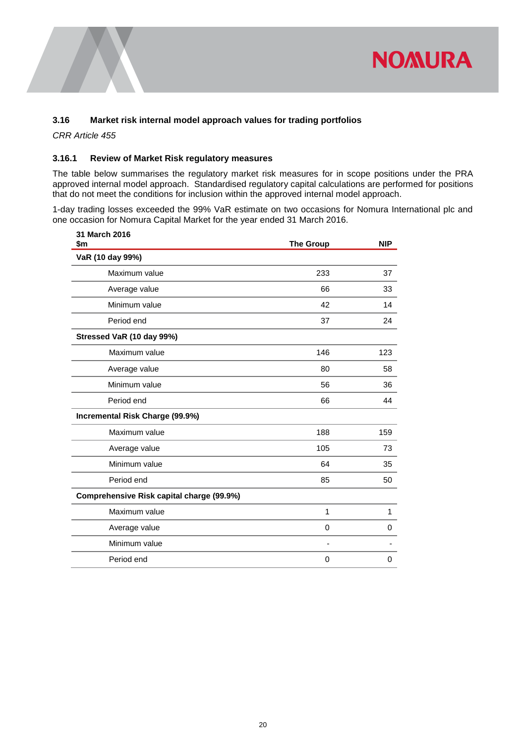

# <span id="page-20-0"></span>**3.16 Market risk internal model approach values for trading portfolios**

*CRR Article 455*

## **3.16.1 Review of Market Risk regulatory measures**

The table below summarises the regulatory market risk measures for in scope positions under the PRA approved internal model approach. Standardised regulatory capital calculations are performed for positions that do not meet the conditions for inclusion within the approved internal model approach.

1-day trading losses exceeded the 99% VaR estimate on two occasions for Nomura International plc and one occasion for Nomura Capital Market for the year ended 31 March 2016.

| 31 March 2016<br>\$m                      | <b>The Group</b> | <b>NIP</b> |
|-------------------------------------------|------------------|------------|
| VaR (10 day 99%)                          |                  |            |
| Maximum value                             | 233              | 37         |
| Average value                             | 66               | 33         |
| Minimum value                             | 42               | 14         |
| Period end                                | 37               | 24         |
| Stressed VaR (10 day 99%)                 |                  |            |
| Maximum value                             | 146              | 123        |
| Average value                             | 80               | 58         |
| Minimum value                             | 56               | 36         |
| Period end                                | 66               | 44         |
| Incremental Risk Charge (99.9%)           |                  |            |
| Maximum value                             | 188              | 159        |
| Average value                             | 105              | 73         |
| Minimum value                             | 64               | 35         |
| Period end                                | 85               | 50         |
| Comprehensive Risk capital charge (99.9%) |                  |            |
| Maximum value                             | $\mathbf 1$      | 1          |
| Average value                             | 0                | 0          |
| Minimum value                             |                  |            |
| Period end                                | 0                | 0          |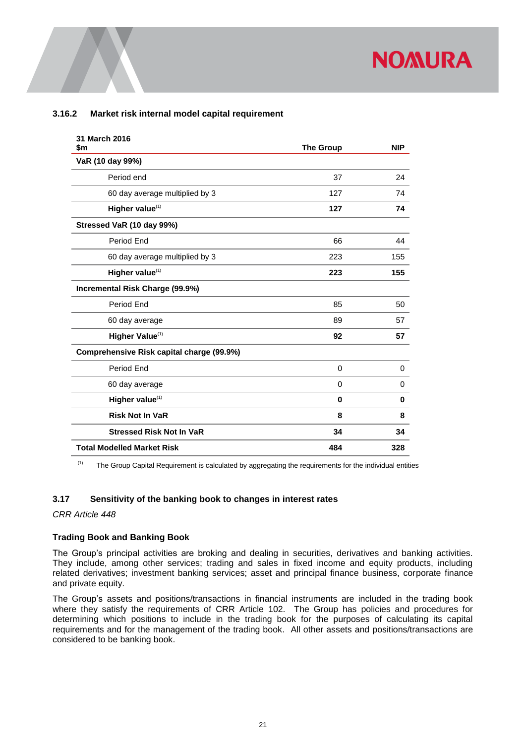# **3.16.2 Market risk internal model capital requirement**

| 31 March 2016<br>\$m                      | <b>The Group</b> | <b>NIP</b> |
|-------------------------------------------|------------------|------------|
| VaR (10 day 99%)                          |                  |            |
| Period end                                | 37               | 24         |
| 60 day average multiplied by 3            | 127              | 74         |
| Higher value <sup>(1)</sup>               | 127              | 74         |
| Stressed VaR (10 day 99%)                 |                  |            |
| Period End                                | 66               | 44         |
| 60 day average multiplied by 3            | 223              | 155        |
| Higher value <sup>(1)</sup>               | 223              | 155        |
| Incremental Risk Charge (99.9%)           |                  |            |
| Period End                                | 85               | 50         |
| 60 day average                            | 89               | 57         |
| Higher Value <sup>(1)</sup>               | 92               | 57         |
| Comprehensive Risk capital charge (99.9%) |                  |            |
| Period End                                | 0                | 0          |
| 60 day average                            | 0                | 0          |
| Higher value <sup>(1)</sup>               | $\mathbf 0$      | 0          |
| <b>Risk Not In VaR</b>                    | 8                | 8          |
| <b>Stressed Risk Not In VaR</b>           | 34               | 34         |
| <b>Total Modelled Market Risk</b>         | 484              | 328        |

 $(1)$  The Group Capital Requirement is calculated by aggregating the requirements for the individual entities

# <span id="page-21-0"></span>**3.17 Sensitivity of the banking book to changes in interest rates**

*CRR Article 448*

## **Trading Book and Banking Book**

The Group's principal activities are broking and dealing in securities, derivatives and banking activities. They include, among other services; trading and sales in fixed income and equity products, including related derivatives; investment banking services; asset and principal finance business, corporate finance and private equity.

The Group's assets and positions/transactions in financial instruments are included in the trading book where they satisfy the requirements of CRR Article 102. The Group has policies and procedures for determining which positions to include in the trading book for the purposes of calculating its capital requirements and for the management of the trading book. All other assets and positions/transactions are considered to be banking book.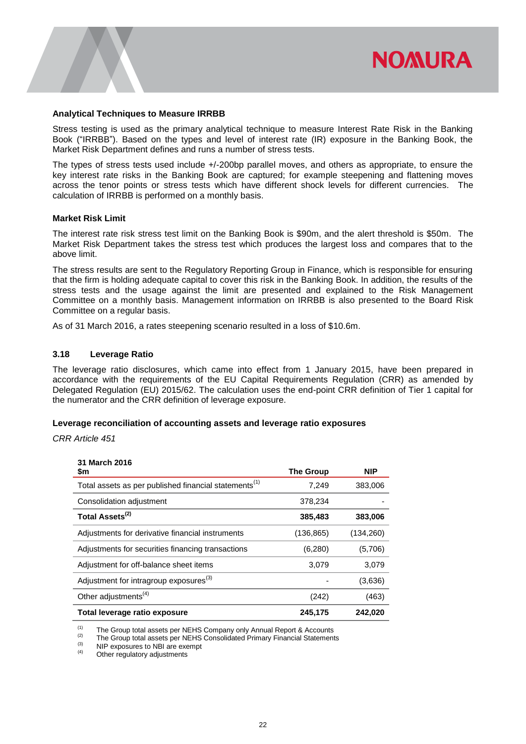

#### **Analytical Techniques to Measure IRRBB**

Stress testing is used as the primary analytical technique to measure Interest Rate Risk in the Banking Book ("IRRBB"). Based on the types and level of interest rate (IR) exposure in the Banking Book, the Market Risk Department defines and runs a number of stress tests.

The types of stress tests used include +/-200bp parallel moves, and others as appropriate, to ensure the key interest rate risks in the Banking Book are captured; for example steepening and flattening moves across the tenor points or stress tests which have different shock levels for different currencies. The calculation of IRRBB is performed on a monthly basis.

#### **Market Risk Limit**

The interest rate risk stress test limit on the Banking Book is \$90m, and the alert threshold is \$50m. The Market Risk Department takes the stress test which produces the largest loss and compares that to the above limit.

The stress results are sent to the Regulatory Reporting Group in Finance, which is responsible for ensuring that the firm is holding adequate capital to cover this risk in the Banking Book. In addition, the results of the stress tests and the usage against the limit are presented and explained to the Risk Management Committee on a monthly basis. Management information on IRRBB is also presented to the Board Risk Committee on a regular basis.

As of 31 March 2016, a rates steepening scenario resulted in a loss of \$10.6m.

## <span id="page-22-0"></span>**3.18 Leverage Ratio**

The leverage ratio disclosures, which came into effect from 1 January 2015, have been prepared in accordance with the requirements of the EU Capital Requirements Regulation (CRR) as amended by Delegated Regulation (EU) 2015/62. The calculation uses the end-point CRR definition of Tier 1 capital for the numerator and the CRR definition of leverage exposure.

## **Leverage reconciliation of accounting assets and leverage ratio exposures**

*CRR Article 451*

| 31 March 2016<br>\$m                                              | <b>The Group</b> | <b>NIP</b> |
|-------------------------------------------------------------------|------------------|------------|
| Total assets as per published financial statements <sup>(1)</sup> | 7,249            | 383,006    |
| Consolidation adjustment                                          | 378,234          |            |
| Total Assets <sup>(2)</sup>                                       | 385,483          | 383,006    |
| Adjustments for derivative financial instruments                  | (136, 865)       | (134,260)  |
| Adjustments for securities financing transactions                 | (6,280)          | (5,706)    |
| Adjustment for off-balance sheet items                            | 3,079            | 3,079      |
| Adjustment for intragroup exposures <sup>(3)</sup>                |                  | (3,636)    |
| Other adjustments <sup>(4)</sup>                                  | (242)            | (463)      |
| Total leverage ratio exposure                                     | 245,175          | 242,020    |

(1) The Group total assets per NEHS Company only Annual Report & Accounts

(2) The Group total assets per NEHS Consolidated Primary Financial Statements

 $(4)$  NIP exposures to NBI are exempt

Other regulatory adjustments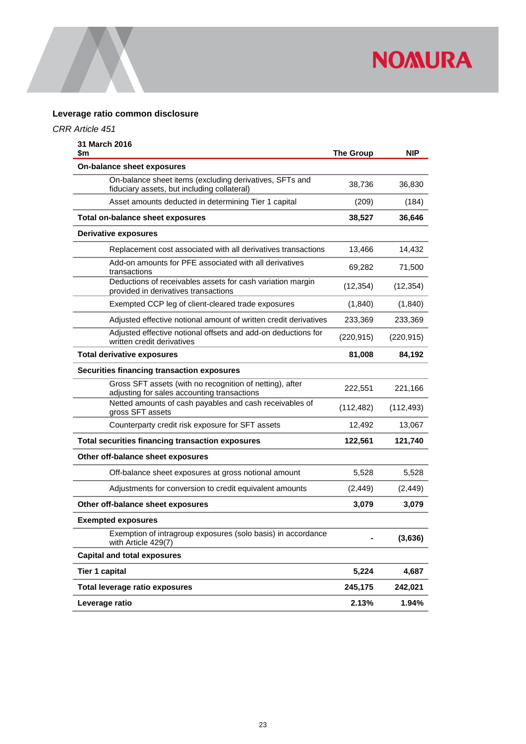

# **Leverage ratio common disclosure**

# *CRR Article 451*

| 31 March 2016<br>\$m                                                                                    | <b>The Group</b> | NIP        |
|---------------------------------------------------------------------------------------------------------|------------------|------------|
| On-balance sheet exposures                                                                              |                  |            |
| On-balance sheet items (excluding derivatives, SFTs and<br>fiduciary assets, but including collateral)  | 38,736           | 36,830     |
| Asset amounts deducted in determining Tier 1 capital                                                    | (209)            | (184)      |
| <b>Total on-balance sheet exposures</b>                                                                 | 38,527           | 36,646     |
| <b>Derivative exposures</b>                                                                             |                  |            |
| Replacement cost associated with all derivatives transactions                                           | 13,466           | 14,432     |
| Add-on amounts for PFE associated with all derivatives<br>transactions                                  | 69,282           | 71,500     |
| Deductions of receivables assets for cash variation margin<br>provided in derivatives transactions      | (12, 354)        | (12, 354)  |
| Exempted CCP leg of client-cleared trade exposures                                                      | (1,840)          | (1,840)    |
| Adjusted effective notional amount of written credit derivatives                                        | 233,369          | 233,369    |
| Adjusted effective notional offsets and add-on deductions for<br>written credit derivatives             | (220, 915)       | (220, 915) |
| <b>Total derivative exposures</b>                                                                       | 81,008           | 84,192     |
| Securities financing transaction exposures                                                              |                  |            |
| Gross SFT assets (with no recognition of netting), after<br>adjusting for sales accounting transactions | 222,551          | 221,166    |
| Netted amounts of cash payables and cash receivables of<br>gross SFT assets                             | (112, 482)       | (112, 493) |
| Counterparty credit risk exposure for SFT assets                                                        | 12,492           | 13,067     |
| <b>Total securities financing transaction exposures</b>                                                 | 122,561          | 121,740    |
| Other off-balance sheet exposures                                                                       |                  |            |
| Off-balance sheet exposures at gross notional amount                                                    | 5,528            | 5,528      |
| Adjustments for conversion to credit equivalent amounts                                                 | (2, 449)         | (2, 449)   |
| Other off-balance sheet exposures                                                                       | 3,079            | 3,079      |
| <b>Exempted exposures</b>                                                                               |                  |            |
| Exemption of intragroup exposures (solo basis) in accordance<br>with Article 429(7)                     |                  | (3,636)    |
| <b>Capital and total exposures</b>                                                                      |                  |            |
| <b>Tier 1 capital</b>                                                                                   | 5,224            | 4,687      |
| <b>Total leverage ratio exposures</b>                                                                   | 245,175          | 242,021    |
| Leverage ratio                                                                                          | 2.13%            | 1.94%      |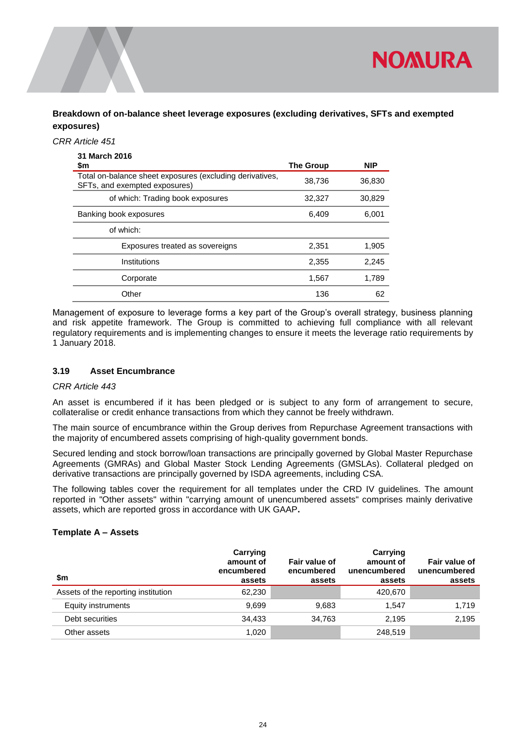

**Breakdown of on-balance sheet leverage exposures (excluding derivatives, SFTs and exempted exposures)**

#### *CRR Article 451*

| 31 March 2016                                                                             |                  |            |
|-------------------------------------------------------------------------------------------|------------------|------------|
| \$m                                                                                       | <b>The Group</b> | <b>NIP</b> |
| Total on-balance sheet exposures (excluding derivatives,<br>SFTs, and exempted exposures) | 38,736           | 36,830     |
| of which: Trading book exposures                                                          | 32,327           | 30,829     |
| Banking book exposures                                                                    | 6,409            | 6,001      |
| of which:                                                                                 |                  |            |
| Exposures treated as sovereigns                                                           | 2,351            | 1,905      |
| Institutions                                                                              | 2,355            | 2,245      |
| Corporate                                                                                 | 1,567            | 1,789      |
| Other                                                                                     | 136              | 62         |

Management of exposure to leverage forms a key part of the Group's overall strategy, business planning and risk appetite framework. The Group is committed to achieving full compliance with all relevant regulatory requirements and is implementing changes to ensure it meets the leverage ratio requirements by 1 January 2018.

# <span id="page-24-0"></span>**3.19 Asset Encumbrance**

#### *CRR Article 443*

An asset is encumbered if it has been pledged or is subject to any form of arrangement to secure, collateralise or credit enhance transactions from which they cannot be freely withdrawn.

The main source of encumbrance within the Group derives from Repurchase Agreement transactions with the majority of encumbered assets comprising of high-quality government bonds.

Secured lending and stock borrow/loan transactions are principally governed by Global Master Repurchase Agreements (GMRAs) and Global Master Stock Lending Agreements (GMSLAs). Collateral pledged on derivative transactions are principally governed by ISDA agreements, including CSA.

The following tables cover the requirement for all templates under the CRD IV guidelines. The amount reported in "Other assets" within "carrying amount of unencumbered assets" comprises mainly derivative assets, which are reported gross in accordance with UK GAAP**.**

#### **Template A – Assets**

| \$m                                 | Carrying<br>amount of<br>encumbered<br>assets | Fair value of<br>encumbered<br>assets | Carrying<br>amount of<br>unencumbered<br>assets | Fair value of<br>unencumbered<br>assets |
|-------------------------------------|-----------------------------------------------|---------------------------------------|-------------------------------------------------|-----------------------------------------|
| Assets of the reporting institution | 62,230                                        |                                       | 420.670                                         |                                         |
| Equity instruments                  | 9.699                                         | 9,683                                 | 1.547                                           | 1.719                                   |
| Debt securities                     | 34.433                                        | 34,763                                | 2.195                                           | 2,195                                   |
| Other assets                        | 1,020                                         |                                       | 248.519                                         |                                         |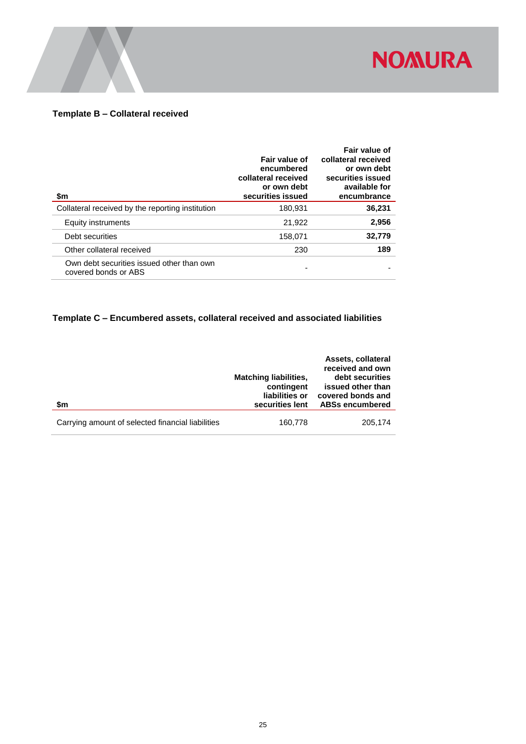

# **Template B – Collateral received**

| \$m                                                               | Fair value of<br>encumbered<br>collateral received<br>or own debt<br>securities issued | Fair value of<br>collateral received<br>or own debt<br>securities issued<br>available for<br>encumbrance |
|-------------------------------------------------------------------|----------------------------------------------------------------------------------------|----------------------------------------------------------------------------------------------------------|
| Collateral received by the reporting institution                  | 180,931                                                                                | 36,231                                                                                                   |
| Equity instruments                                                | 21.922                                                                                 | 2,956                                                                                                    |
| Debt securities                                                   | 158,071                                                                                | 32,779                                                                                                   |
| Other collateral received                                         | 230                                                                                    | 189                                                                                                      |
| Own debt securities issued other than own<br>covered bonds or ABS |                                                                                        |                                                                                                          |

# **Template C – Encumbered assets, collateral received and associated liabilities**

|                                                   |                              | Assets, collateral<br>received and own |
|---------------------------------------------------|------------------------------|----------------------------------------|
|                                                   | <b>Matching liabilities,</b> | debt securities                        |
|                                                   | contingent                   | issued other than                      |
|                                                   | liabilities or               | covered bonds and                      |
| \$m                                               | securities lent              | <b>ABSs encumbered</b>                 |
| Carrying amount of selected financial liabilities | 160,778                      | 205,174                                |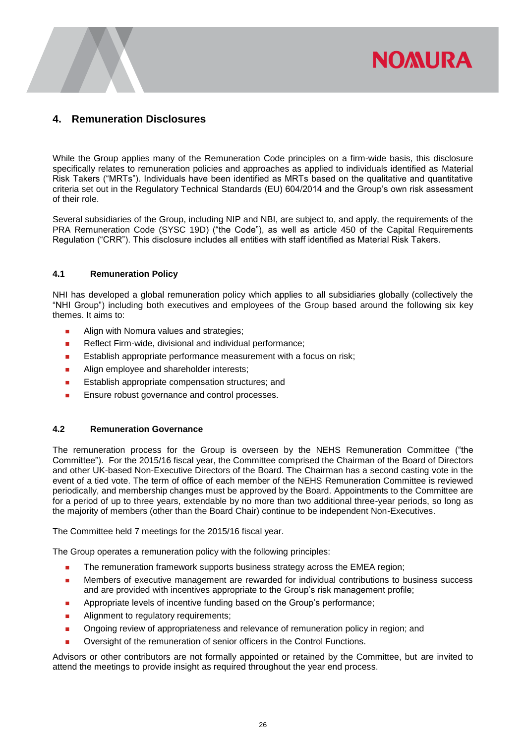# <span id="page-26-0"></span>**4. Remuneration Disclosures**

While the Group applies many of the Remuneration Code principles on a firm-wide basis, this disclosure specifically relates to remuneration policies and approaches as applied to individuals identified as Material Risk Takers ("MRTs"). Individuals have been identified as MRTs based on the qualitative and quantitative criteria set out in the Regulatory Technical Standards (EU) 604/2014 and the Group's own risk assessment of their role.

**NOMURA** 

Several subsidiaries of the Group, including NIP and NBI, are subject to, and apply, the requirements of the PRA Remuneration Code (SYSC 19D) ("the Code"), as well as article 450 of the Capital Requirements Regulation ("CRR"). This disclosure includes all entities with staff identified as Material Risk Takers.

# <span id="page-26-1"></span>**4.1 Remuneration Policy**

NHI has developed a global remuneration policy which applies to all subsidiaries globally (collectively the "NHI Group") including both executives and employees of the Group based around the following six key themes. It aims to:

- Align with Nomura values and strategies;
- Reflect Firm-wide, divisional and individual performance;
- Establish appropriate performance measurement with a focus on risk;
- **Align employee and shareholder interests;**
- **Establish appropriate compensation structures; and**
- <span id="page-26-2"></span>**Ensure robust governance and control processes.**

# **4.2 Remuneration Governance**

The remuneration process for the Group is overseen by the NEHS Remuneration Committee ("the Committee"). For the 2015/16 fiscal year, the Committee comprised the Chairman of the Board of Directors and other UK-based Non-Executive Directors of the Board. The Chairman has a second casting vote in the event of a tied vote. The term of office of each member of the NEHS Remuneration Committee is reviewed periodically, and membership changes must be approved by the Board. Appointments to the Committee are for a period of up to three years, extendable by no more than two additional three-year periods, so long as the majority of members (other than the Board Chair) continue to be independent Non-Executives.

The Committee held 7 meetings for the 2015/16 fiscal year.

The Group operates a remuneration policy with the following principles:

- **The remuneration framework supports business strategy across the EMEA region;**
- Members of executive management are rewarded for individual contributions to business success and are provided with incentives appropriate to the Group's risk management profile;
- **Appropriate levels of incentive funding based on the Group's performance;**
- **Alignment to regulatory requirements;**
- **Diamonglering review of appropriateness and relevance of remuneration policy in region; and**
- **D** Oversight of the remuneration of senior officers in the Control Functions.

Advisors or other contributors are not formally appointed or retained by the Committee, but are invited to attend the meetings to provide insight as required throughout the year end process.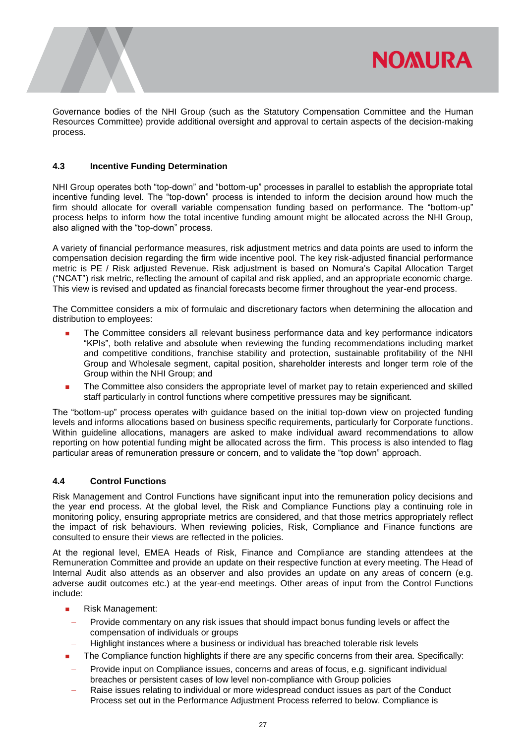

Governance bodies of the NHI Group (such as the Statutory Compensation Committee and the Human Resources Committee) provide additional oversight and approval to certain aspects of the decision-making process.

# <span id="page-27-0"></span>**4.3 Incentive Funding Determination**

NHI Group operates both "top-down" and "bottom-up" processes in parallel to establish the appropriate total incentive funding level. The "top-down" process is intended to inform the decision around how much the firm should allocate for overall variable compensation funding based on performance. The "bottom-up" process helps to inform how the total incentive funding amount might be allocated across the NHI Group, also aligned with the "top-down" process.

A variety of financial performance measures, risk adjustment metrics and data points are used to inform the compensation decision regarding the firm wide incentive pool. The key risk-adjusted financial performance metric is PE / Risk adjusted Revenue. Risk adjustment is based on Nomura's Capital Allocation Target ("NCAT") risk metric, reflecting the amount of capital and risk applied, and an appropriate economic charge. This view is revised and updated as financial forecasts become firmer throughout the year-end process.

The Committee considers a mix of formulaic and discretionary factors when determining the allocation and distribution to employees:

- The Committee considers all relevant business performance data and key performance indicators "KPIs", both relative and absolute when reviewing the funding recommendations including market and competitive conditions, franchise stability and protection, sustainable profitability of the NHI Group and Wholesale segment, capital position, shareholder interests and longer term role of the Group within the NHI Group; and
- The Committee also considers the appropriate level of market pay to retain experienced and skilled staff particularly in control functions where competitive pressures may be significant.

The "bottom-up" process operates with guidance based on the initial top-down view on projected funding levels and informs allocations based on business specific requirements, particularly for Corporate functions. Within guideline allocations, managers are asked to make individual award recommendations to allow reporting on how potential funding might be allocated across the firm. This process is also intended to flag particular areas of remuneration pressure or concern, and to validate the "top down" approach.

## <span id="page-27-1"></span>**4.4 Control Functions**

Risk Management and Control Functions have significant input into the remuneration policy decisions and the year end process. At the global level, the Risk and Compliance Functions play a continuing role in monitoring policy, ensuring appropriate metrics are considered, and that those metrics appropriately reflect the impact of risk behaviours. When reviewing policies, Risk, Compliance and Finance functions are consulted to ensure their views are reflected in the policies.

At the regional level, EMEA Heads of Risk, Finance and Compliance are standing attendees at the Remuneration Committee and provide an update on their respective function at every meeting. The Head of Internal Audit also attends as an observer and also provides an update on any areas of concern (e.g. adverse audit outcomes etc.) at the year-end meetings. Other areas of input from the Control Functions include:

- Risk Management:
- Provide commentary on any risk issues that should impact bonus funding levels or affect the compensation of individuals or groups
- Highlight instances where a business or individual has breached tolerable risk levels
- The Compliance function highlights if there are any specific concerns from their area. Specifically:
- Provide input on Compliance issues, concerns and areas of focus, e.g. significant individual breaches or persistent cases of low level non-compliance with Group policies
- Raise issues relating to individual or more widespread conduct issues as part of the Conduct Process set out in the Performance Adjustment Process referred to below. Compliance is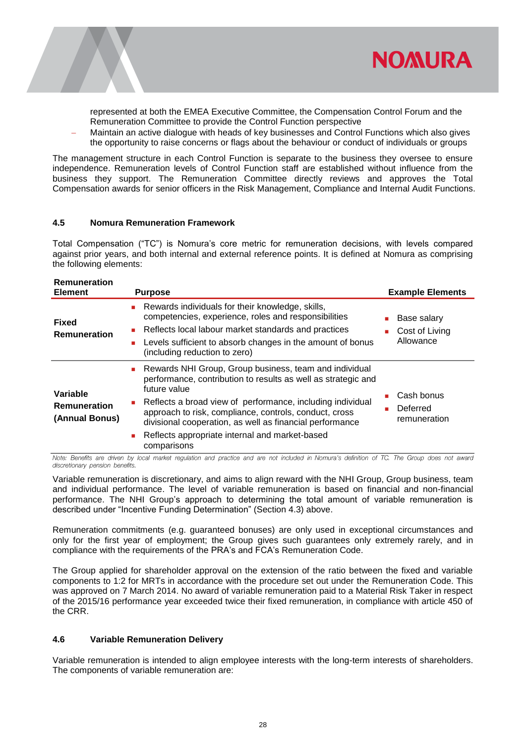

represented at both the EMEA Executive Committee, the Compensation Control Forum and the Remuneration Committee to provide the Control Function perspective

 Maintain an active dialogue with heads of key businesses and Control Functions which also gives the opportunity to raise concerns or flags about the behaviour or conduct of individuals or groups

The management structure in each Control Function is separate to the business they oversee to ensure independence. Remuneration levels of Control Function staff are established without influence from the business they support. The Remuneration Committee directly reviews and approves the Total Compensation awards for senior officers in the Risk Management, Compliance and Internal Audit Functions.

#### <span id="page-28-0"></span>**4.5 Nomura Remuneration Framework**

Total Compensation ("TC") is Nomura's core metric for remuneration decisions, with levels compared against prior years, and both internal and external reference points. It is defined at Nomura as comprising the following elements:

| <b>Remuneration</b><br><b>Element</b>             | <b>Purpose</b>                                                                                                                                                                                                                                                                                                                                                                                                    | <b>Example Elements</b>                    |
|---------------------------------------------------|-------------------------------------------------------------------------------------------------------------------------------------------------------------------------------------------------------------------------------------------------------------------------------------------------------------------------------------------------------------------------------------------------------------------|--------------------------------------------|
| <b>Fixed</b><br>Remuneration                      | Rewards individuals for their knowledge, skills,<br>$\mathbf{r}$<br>competencies, experience, roles and responsibilities<br>Reflects local labour market standards and practices<br>$\mathcal{L}_{\mathcal{A}}$<br>Levels sufficient to absorb changes in the amount of bonus<br>ш<br>(including reduction to zero)                                                                                               | Base salary<br>Cost of Living<br>Allowance |
| Variable<br><b>Remuneration</b><br>(Annual Bonus) | Rewards NHI Group, Group business, team and individual<br>performance, contribution to results as well as strategic and<br>future value<br>Reflects a broad view of performance, including individual<br>$\mathbf{r}$<br>approach to risk, compliance, controls, conduct, cross<br>divisional cooperation, as well as financial performance<br>Reflects appropriate internal and market-based<br>ш<br>comparisons | Cash bonus<br>Deferred<br>remuneration     |

Note: Benefits are driven by local market regulation and practice and are not included in Nomura's definition of TC. The Group does not award discretionary pension benefits.

Variable remuneration is discretionary, and aims to align reward with the NHI Group, Group business, team and individual performance. The level of variable remuneration is based on financial and non-financial performance. The NHI Group's approach to determining the total amount of variable remuneration is described under "Incentive Funding Determination" (Section 4.3) above.

Remuneration commitments (e.g. guaranteed bonuses) are only used in exceptional circumstances and only for the first year of employment; the Group gives such guarantees only extremely rarely, and in compliance with the requirements of the PRA's and FCA's Remuneration Code.

The Group applied for shareholder approval on the extension of the ratio between the fixed and variable components to 1:2 for MRTs in accordance with the procedure set out under the Remuneration Code. This was approved on 7 March 2014. No award of variable remuneration paid to a Material Risk Taker in respect of the 2015/16 performance year exceeded twice their fixed remuneration, in compliance with article 450 of the CRR.

## <span id="page-28-1"></span>**4.6 Variable Remuneration Delivery**

Variable remuneration is intended to align employee interests with the long-term interests of shareholders. The components of variable remuneration are: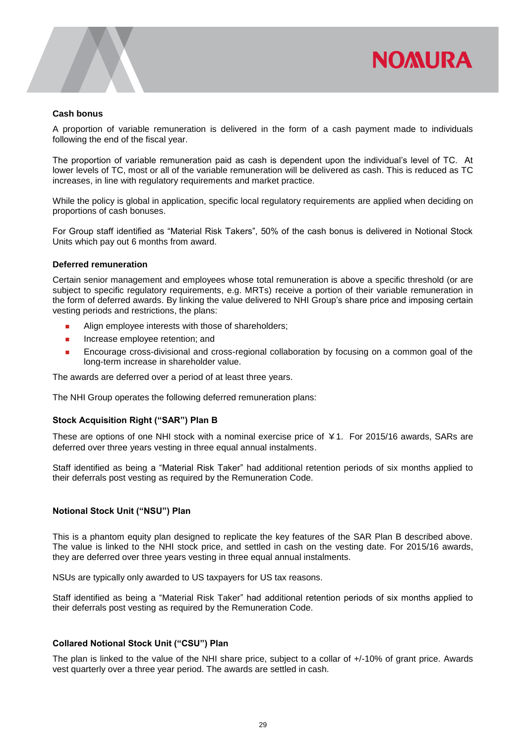

#### **Cash bonus**

A proportion of variable remuneration is delivered in the form of a cash payment made to individuals following the end of the fiscal year.

The proportion of variable remuneration paid as cash is dependent upon the individual's level of TC. At lower levels of TC, most or all of the variable remuneration will be delivered as cash. This is reduced as TC increases, in line with regulatory requirements and market practice.

While the policy is global in application, specific local regulatory requirements are applied when deciding on proportions of cash bonuses.

For Group staff identified as "Material Risk Takers", 50% of the cash bonus is delivered in Notional Stock Units which pay out 6 months from award.

#### **Deferred remuneration**

Certain senior management and employees whose total remuneration is above a specific threshold (or are subject to specific regulatory requirements, e.g. MRTs) receive a portion of their variable remuneration in the form of deferred awards. By linking the value delivered to NHI Group's share price and imposing certain vesting periods and restrictions, the plans:

- **Align employee interests with those of shareholders;**
- **n** Increase employee retention; and
- Encourage cross-divisional and cross-regional collaboration by focusing on a common goal of the long-term increase in shareholder value.

The awards are deferred over a period of at least three years.

The NHI Group operates the following deferred remuneration plans:

# **Stock Acquisition Right ("SAR") Plan B**

These are options of one NHI stock with a nominal exercise price of ¥1. For 2015/16 awards, SARs are deferred over three years vesting in three equal annual instalments.

Staff identified as being a "Material Risk Taker" had additional retention periods of six months applied to their deferrals post vesting as required by the Remuneration Code.

## **Notional Stock Unit ("NSU") Plan**

This is a phantom equity plan designed to replicate the key features of the SAR Plan B described above. The value is linked to the NHI stock price, and settled in cash on the vesting date. For 2015/16 awards, they are deferred over three years vesting in three equal annual instalments.

NSUs are typically only awarded to US taxpayers for US tax reasons.

Staff identified as being a "Material Risk Taker" had additional retention periods of six months applied to their deferrals post vesting as required by the Remuneration Code.

# **Collared Notional Stock Unit ("CSU") Plan**

The plan is linked to the value of the NHI share price, subject to a collar of +/-10% of grant price. Awards vest quarterly over a three year period. The awards are settled in cash.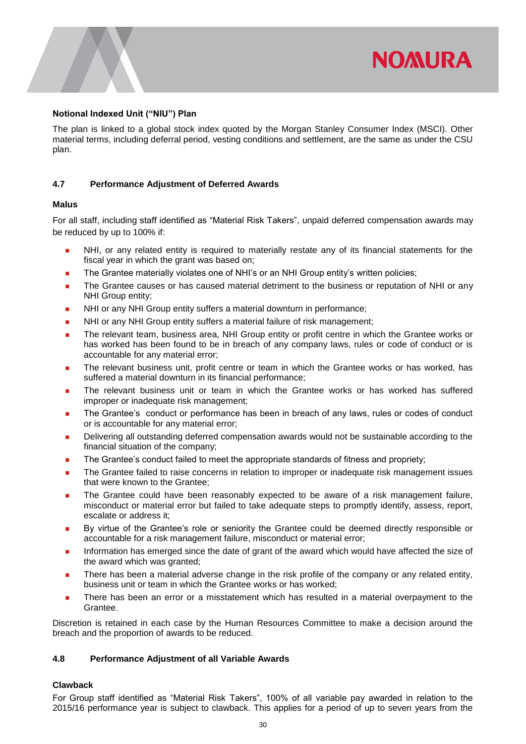# **Notional Indexed Unit ("NIU") Plan**

The plan is linked to a global stock index quoted by the Morgan Stanley Consumer Index (MSCI). Other material terms, including deferral period, vesting conditions and settlement, are the same as under the CSU plan.

**NOMURA** 

# <span id="page-30-0"></span>**4.7 Performance Adjustment of Deferred Awards**

# **Malus**

For all staff, including staff identified as "Material Risk Takers", unpaid deferred compensation awards may be reduced by up to 100% if:

- NHI, or any related entity is required to materially restate any of its financial statements for the fiscal year in which the grant was based on;
- **The Grantee materially violates one of NHI's or an NHI Group entity's written policies;**
- **The Grantee causes or has caused material detriment to the business or reputation of NHI or any** NHI Group entity;
- **NHI or any NHI Group entity suffers a material downturn in performance;**
- NHI or any NHI Group entity suffers a material failure of risk management;
- **The relevant team, business area, NHI Group entity or profit centre in which the Grantee works or** has worked has been found to be in breach of any company laws, rules or code of conduct or is accountable for any material error;
- The relevant business unit, profit centre or team in which the Grantee works or has worked, has suffered a material downturn in its financial performance;
- The relevant business unit or team in which the Grantee works or has worked has suffered improper or inadequate risk management;
- The Grantee's conduct or performance has been in breach of any laws, rules or codes of conduct or is accountable for any material error;
- Delivering all outstanding deferred compensation awards would not be sustainable according to the financial situation of the company;
- The Grantee's conduct failed to meet the appropriate standards of fitness and propriety;
- **The Grantee failed to raise concerns in relation to improper or inadequate risk management issues** that were known to the Grantee;
- **The Grantee could have been reasonably expected to be aware of a risk management failure,** misconduct or material error but failed to take adequate steps to promptly identify, assess, report, escalate or address it;
- By virtue of the Grantee's role or seniority the Grantee could be deemed directly responsible or accountable for a risk management failure, misconduct or material error;
- Information has emerged since the date of grant of the award which would have affected the size of the award which was granted;
- **There has been a material adverse change in the risk profile of the company or any related entity,** business unit or team in which the Grantee works or has worked;
- There has been an error or a misstatement which has resulted in a material overpayment to the Grantee.

Discretion is retained in each case by the Human Resources Committee to make a decision around the breach and the proportion of awards to be reduced.

## <span id="page-30-1"></span>**4.8 Performance Adjustment of all Variable Awards**

## **Clawback**

For Group staff identified as "Material Risk Takers", 100% of all variable pay awarded in relation to the 2015/16 performance year is subject to clawback. This applies for a period of up to seven years from the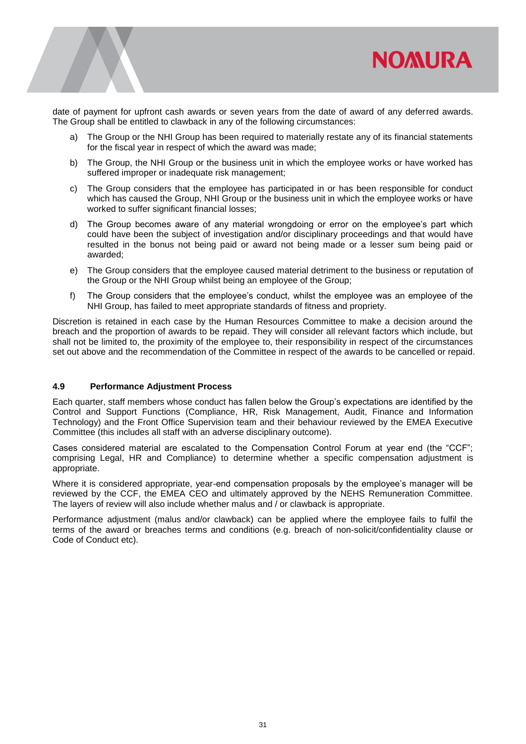

date of payment for upfront cash awards or seven years from the date of award of any deferred awards. The Group shall be entitled to clawback in any of the following circumstances:

- a) The Group or the NHI Group has been required to materially restate any of its financial statements for the fiscal year in respect of which the award was made;
- b) The Group, the NHI Group or the business unit in which the employee works or have worked has suffered improper or inadequate risk management;
- c) The Group considers that the employee has participated in or has been responsible for conduct which has caused the Group, NHI Group or the business unit in which the employee works or have worked to suffer significant financial losses:
- d) The Group becomes aware of any material wrongdoing or error on the employee's part which could have been the subject of investigation and/or disciplinary proceedings and that would have resulted in the bonus not being paid or award not being made or a lesser sum being paid or awarded;
- e) The Group considers that the employee caused material detriment to the business or reputation of the Group or the NHI Group whilst being an employee of the Group;
- f) The Group considers that the employee's conduct, whilst the employee was an employee of the NHI Group, has failed to meet appropriate standards of fitness and propriety.

Discretion is retained in each case by the Human Resources Committee to make a decision around the breach and the proportion of awards to be repaid. They will consider all relevant factors which include, but shall not be limited to, the proximity of the employee to, their responsibility in respect of the circumstances set out above and the recommendation of the Committee in respect of the awards to be cancelled or repaid.

## <span id="page-31-0"></span>**4.9 Performance Adjustment Process**

Each quarter, staff members whose conduct has fallen below the Group's expectations are identified by the Control and Support Functions (Compliance, HR, Risk Management, Audit, Finance and Information Technology) and the Front Office Supervision team and their behaviour reviewed by the EMEA Executive Committee (this includes all staff with an adverse disciplinary outcome).

Cases considered material are escalated to the Compensation Control Forum at year end (the "CCF"; comprising Legal, HR and Compliance) to determine whether a specific compensation adjustment is appropriate.

Where it is considered appropriate, year-end compensation proposals by the employee's manager will be reviewed by the CCF, the EMEA CEO and ultimately approved by the NEHS Remuneration Committee. The layers of review will also include whether malus and / or clawback is appropriate.

Performance adjustment (malus and/or clawback) can be applied where the employee fails to fulfil the terms of the award or breaches terms and conditions (e.g. breach of non-solicit/confidentiality clause or Code of Conduct etc).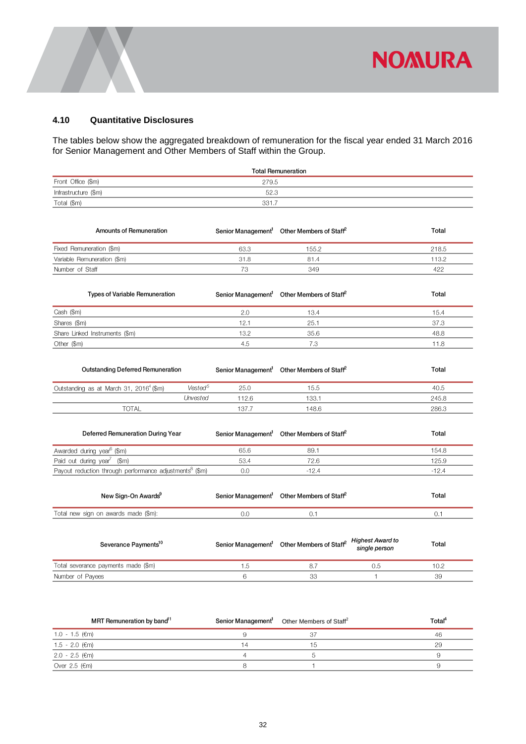

# <span id="page-32-0"></span>**4.10 Quantitative Disclosures**

The tables below show the aggregated breakdown of remuneration for the fiscal year ended 31 March 2016 for Senior Management and Other Members of Staff within the Group.

|                      | <b>Total Remuneration</b> |  |
|----------------------|---------------------------|--|
| Front Office (\$m)   | 279.5                     |  |
| Infrastructure (\$m) | 52.3                      |  |
| Total (\$m)          | 331.7                     |  |
|                      |                           |  |

| Amounts of Remuneration                                             |                     |       | Senior Management <sup>1</sup> Other Members of Staff <sup>2</sup>                  |              | Total   |
|---------------------------------------------------------------------|---------------------|-------|-------------------------------------------------------------------------------------|--------------|---------|
| Fixed Remuneration (\$m)                                            |                     | 63.3  | 155.2                                                                               |              | 218.5   |
| Variable Remuneration (\$m)                                         |                     | 31.8  | 81.4                                                                                |              | 113.2   |
| Number of Staff                                                     |                     | 73    | 349                                                                                 |              | 422     |
| <b>Types of Variable Remuneration</b>                               |                     |       | Senior Management <sup>1</sup> Other Members of Staff <sup>2</sup>                  |              | Total   |
| Cash (\$m)                                                          |                     | 2.0   | 13.4                                                                                |              | 15.4    |
| Shares (\$m)                                                        |                     | 12.1  | 25.1                                                                                |              | 37.3    |
| Share Linked Instruments (\$m)                                      |                     | 13.2  | 35.6                                                                                |              | 48.8    |
| Other (\$m)                                                         |                     | 4.5   | 7.3                                                                                 |              | 11.8    |
| <b>Outstanding Deferred Remuneration</b>                            |                     |       | Senior Management <sup>1</sup> Other Members of Staff <sup>2</sup>                  |              | Total   |
| Outstanding as at March 31, 2016 <sup>4</sup> (\$m)                 | Vested <sup>5</sup> | 25.0  | 15.5                                                                                |              | 40.5    |
|                                                                     | Unvested            | 112.6 | 133.1                                                                               |              | 245.8   |
| <b>TOTAL</b>                                                        |                     | 137.7 | 148.6                                                                               |              | 286.3   |
| Deferred Remuneration During Year                                   |                     |       | Senior Management <sup>1</sup> Other Members of Staff <sup>2</sup>                  |              | Total   |
| Awarded during year <sup>6</sup> (\$m)                              |                     | 65.6  | 89.1                                                                                |              | 154.8   |
| Paid out during year <sup>7</sup><br>$(\$m)$                        |                     | 53.4  | 72.6                                                                                |              | 125.9   |
| Payout reduction through performance adjustments <sup>8</sup> (\$m) |                     | 0.0   | $-12.4$                                                                             |              | $-12.4$ |
| New Sign-On Awards <sup>9</sup>                                     |                     |       | Senior Management <sup>1</sup> Other Members of Staff <sup>2</sup>                  |              | Total   |
| Total new sign on awards made (\$m):                                |                     | 0.0   | 0.1                                                                                 |              | 0.1     |
| Severance Payments <sup>10</sup>                                    |                     |       | Senior Management <sup>1</sup> Other Members of Staff <sup>2</sup> Highest Award to |              | Total   |
| Total severance payments made (\$m)                                 |                     | 1.5   | 8.7                                                                                 | 0.5          | 10.2    |
| Number of Payees                                                    |                     | 6     | 33                                                                                  | $\mathbf{1}$ | 39      |

| MRT Remuneration by band <sup>11</sup> | Senior Management <sup>1</sup> Other Members of Staff <sup>2</sup> | Total <sup>4</sup> |
|----------------------------------------|--------------------------------------------------------------------|--------------------|
| 1.0 - 1.5 (€m)                         | 37                                                                 | -46                |
| 1.5 - 2.0 (€m)                         | 15                                                                 | 29                 |
| 2.0 - 2.5 (€m)                         |                                                                    |                    |
| Over 2.5 ( $\epsilon$ m)               |                                                                    |                    |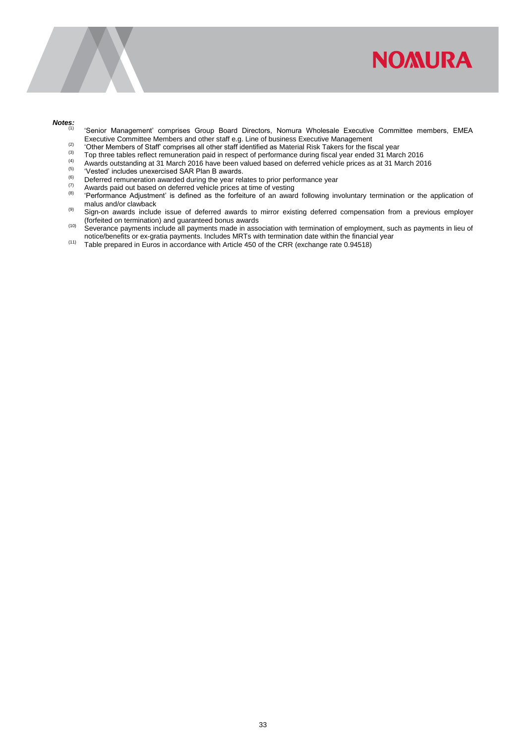

#### *Notes:*

- (1) 'Senior Management' comprises Group Board Directors, Nomura Wholesale Executive Committee members, EMEA Executive Committee Members and other staff e.g. Line of business Executive Management
- Executive Committee Members and other staff identified as Material Risk Takers for the fiscal year.<br><sup>(3)</sup> The Members of Staff' comprises all other staff identified as Material Risk Takers for the fiscal year.
- (3) Top three tables reflect remuneration paid in respect of performance during fiscal year ended 31 March 2016
- (4) Awards outstanding at 31 March 2016 have been valued based on deferred vehicle prices as at 31 March 2016
- $(5)$  'Vested' includes unexercised SAR Plan B awards.
- (6) Deferred remuneration awarded during the year relates to prior performance year<br>(7) Awards paid out based on deferred vehicle prices at time of vesting
- (7) Awards paid out based on deferred vehicle prices at time of vesting  $\binom{8}{2}$  (8) (Deferresses Adjustment) is defined as the familiar at an august
- (8) 'Performance Adjustment' is defined as the forfeiture of an award following involuntary termination or the application of malus and/or clawback
- (9) Sign-on awards include issue of deferred awards to mirror existing deferred compensation from a previous employer (forfeited on termination) and guaranteed bonus awards
- (10) Severance payments include all payments made in association with termination of employment, such as payments in lieu of notice/benefits or ex-gratia payments. Includes MRTs with termination date within the financial year
- (11) Table prepared in Euros in accordance with Article 450 of the CRR (exchange rate 0.94518)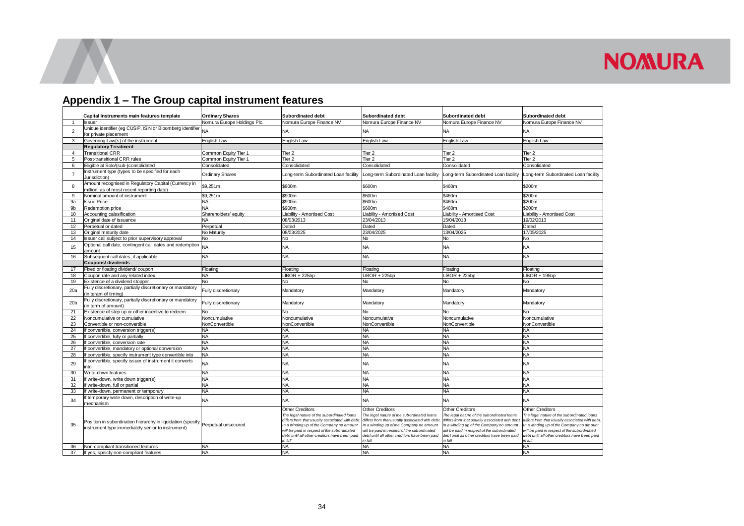# **Appendix 1 – The Group capital instrument features**

<span id="page-34-0"></span>

|                 | Capital Instruments main features template                                                                       | <b>Ordinary Shares</b>      | Subordinated debt                                                                                                                                                                                                                                                             | Subordinated debt                                                                                                                                                                                                                                                             | Subordinated debt                                                                                                                                                                                                                                                            | Subordinated debt                                                                                                                                                                                                                                                       |
|-----------------|------------------------------------------------------------------------------------------------------------------|-----------------------------|-------------------------------------------------------------------------------------------------------------------------------------------------------------------------------------------------------------------------------------------------------------------------------|-------------------------------------------------------------------------------------------------------------------------------------------------------------------------------------------------------------------------------------------------------------------------------|------------------------------------------------------------------------------------------------------------------------------------------------------------------------------------------------------------------------------------------------------------------------------|-------------------------------------------------------------------------------------------------------------------------------------------------------------------------------------------------------------------------------------------------------------------------|
| $\overline{1}$  | <b>Issuer</b>                                                                                                    | Nomura Europe Holdings Plc. | Nomura Europe Finance NV                                                                                                                                                                                                                                                      | Nomura Europe Finance NV                                                                                                                                                                                                                                                      | Nomura Europe Finance NV                                                                                                                                                                                                                                                     | Nomura Europe Finance NV                                                                                                                                                                                                                                                |
| $\overline{2}$  | Unique identifier (eg CUSIP, ISIN or Bloomberg identifier<br>for private placement                               | <b>NA</b>                   | <b>NA</b>                                                                                                                                                                                                                                                                     | <b>NA</b>                                                                                                                                                                                                                                                                     | <b>NA</b>                                                                                                                                                                                                                                                                    | <b>NA</b>                                                                                                                                                                                                                                                               |
| 3               | Governing Law(s) of the instrument                                                                               | English Law                 | English Law                                                                                                                                                                                                                                                                   | English Law                                                                                                                                                                                                                                                                   | English Law                                                                                                                                                                                                                                                                  | English Law                                                                                                                                                                                                                                                             |
|                 | <b>Regulatory Treatment</b>                                                                                      |                             |                                                                                                                                                                                                                                                                               |                                                                                                                                                                                                                                                                               |                                                                                                                                                                                                                                                                              |                                                                                                                                                                                                                                                                         |
| $\overline{4}$  | <b>Transitional CRR</b>                                                                                          | Common Equity Tier 1        | Tier <sub>2</sub>                                                                                                                                                                                                                                                             | Tier <sub>2</sub>                                                                                                                                                                                                                                                             | Tier <sub>2</sub>                                                                                                                                                                                                                                                            | Tier <sub>2</sub>                                                                                                                                                                                                                                                       |
| 5               | Post-transitional CRR rules                                                                                      | Common Equity Tier 1        | Tier <sub>2</sub>                                                                                                                                                                                                                                                             | Tier <sub>2</sub>                                                                                                                                                                                                                                                             | Tier <sub>2</sub>                                                                                                                                                                                                                                                            | Tier <sub>2</sub>                                                                                                                                                                                                                                                       |
| 6               | Eligible at Solo/(sub-)consolidated                                                                              | Consolidated                | Consolidated                                                                                                                                                                                                                                                                  | Consolidated                                                                                                                                                                                                                                                                  | Consolidated                                                                                                                                                                                                                                                                 | Consolidated                                                                                                                                                                                                                                                            |
|                 | Instrument type (types to be specified for each                                                                  |                             |                                                                                                                                                                                                                                                                               |                                                                                                                                                                                                                                                                               |                                                                                                                                                                                                                                                                              |                                                                                                                                                                                                                                                                         |
| $\overline{7}$  | Jurisdiction)                                                                                                    | <b>Ordinary Shares</b>      | ong-term Subordinated Loan facility                                                                                                                                                                                                                                           | Long-term Subordinated Loan facility                                                                                                                                                                                                                                          | Long-term Subordinated Loan facility                                                                                                                                                                                                                                         | Long-term Subordinated Loan facility                                                                                                                                                                                                                                    |
| 8               | Amount recognised in Regulatory Capital (Currency in<br>million, as of most recent reporting date)               | \$9,251m                    | \$900m                                                                                                                                                                                                                                                                        | \$600m                                                                                                                                                                                                                                                                        | \$460m                                                                                                                                                                                                                                                                       | \$200m                                                                                                                                                                                                                                                                  |
| 9               | Nominal amount of instrument                                                                                     | \$9,251m                    | \$900m                                                                                                                                                                                                                                                                        | \$600m                                                                                                                                                                                                                                                                        | \$460m                                                                                                                                                                                                                                                                       | \$200m                                                                                                                                                                                                                                                                  |
| 9a              | <b>Issue Price</b>                                                                                               | <b>NA</b>                   | \$900m                                                                                                                                                                                                                                                                        | \$600m                                                                                                                                                                                                                                                                        | \$460m                                                                                                                                                                                                                                                                       | \$200m                                                                                                                                                                                                                                                                  |
| 9b              | Redemption price                                                                                                 | <b>NA</b>                   | \$900m                                                                                                                                                                                                                                                                        | \$600m                                                                                                                                                                                                                                                                        | \$460m                                                                                                                                                                                                                                                                       | \$200m                                                                                                                                                                                                                                                                  |
| 10              | Accounting calssification                                                                                        | Shareholders' equity        | Liability - Amortised Cost                                                                                                                                                                                                                                                    | Liability - Amortised Cost                                                                                                                                                                                                                                                    | Liability - Amortised Cost                                                                                                                                                                                                                                                   | Liability - Amortised Cost                                                                                                                                                                                                                                              |
| 11              | Original date of issuance                                                                                        | <b>NA</b>                   | 08/03/2013                                                                                                                                                                                                                                                                    | 23/04/2013                                                                                                                                                                                                                                                                    | 15/04/2013                                                                                                                                                                                                                                                                   | 19/02/2013                                                                                                                                                                                                                                                              |
| 12              | Perpetual or dated                                                                                               | Perpetual                   | Dated                                                                                                                                                                                                                                                                         | Dated                                                                                                                                                                                                                                                                         | Dated                                                                                                                                                                                                                                                                        | Dated                                                                                                                                                                                                                                                                   |
| 13              | Original maturity date                                                                                           | No Maturity                 | 08/03/2025                                                                                                                                                                                                                                                                    | 23/04/2025                                                                                                                                                                                                                                                                    | 13/04/2025                                                                                                                                                                                                                                                                   | 17/05/2025                                                                                                                                                                                                                                                              |
| 14              | Issuer call subject to prior supervisory approval                                                                | No                          | <b>No</b>                                                                                                                                                                                                                                                                     | No                                                                                                                                                                                                                                                                            | <b>No</b>                                                                                                                                                                                                                                                                    | No                                                                                                                                                                                                                                                                      |
| 15              | Optional call date, contingent call dates and redemption<br>amount                                               | <b>NA</b>                   | <b>NA</b>                                                                                                                                                                                                                                                                     | <b>NA</b>                                                                                                                                                                                                                                                                     | <b>NA</b>                                                                                                                                                                                                                                                                    | <b>NA</b>                                                                                                                                                                                                                                                               |
| 16              | Subsequent call dates, if applicable                                                                             | NA                          | <b>NA</b>                                                                                                                                                                                                                                                                     | NA                                                                                                                                                                                                                                                                            | <b>NA</b>                                                                                                                                                                                                                                                                    | NA                                                                                                                                                                                                                                                                      |
|                 | Coupons/ dividends                                                                                               |                             |                                                                                                                                                                                                                                                                               |                                                                                                                                                                                                                                                                               |                                                                                                                                                                                                                                                                              |                                                                                                                                                                                                                                                                         |
| 17              | Fixed or floating dividend/ coupon                                                                               | Floating                    | Floating                                                                                                                                                                                                                                                                      | Floating                                                                                                                                                                                                                                                                      | Floating                                                                                                                                                                                                                                                                     | Floating                                                                                                                                                                                                                                                                |
| 18              | Coupon rate and any related index                                                                                | NA                          | $LIBOR + 225bp$                                                                                                                                                                                                                                                               | $LIBOR + 225bp$                                                                                                                                                                                                                                                               | $LIBOR + 225bp$                                                                                                                                                                                                                                                              | $LIBOR + 195bp$                                                                                                                                                                                                                                                         |
| 19              | Existence of a dividend stopper                                                                                  | N <sub>o</sub>              | N <sub>o</sub>                                                                                                                                                                                                                                                                | No                                                                                                                                                                                                                                                                            | <b>No</b>                                                                                                                                                                                                                                                                    | No.                                                                                                                                                                                                                                                                     |
| 20a             | Fully discretionary, partially discretionary or mandatory<br>in teram of timing)                                 | Fully discretionary         | Mandatory                                                                                                                                                                                                                                                                     | Mandatory                                                                                                                                                                                                                                                                     | Mandatory                                                                                                                                                                                                                                                                    | Mandatory                                                                                                                                                                                                                                                               |
| 20 <sub>b</sub> | Fully discretionary, partially discretionary or mandatory<br>(in term of amount)                                 | Fully discretionary         | Mandatory                                                                                                                                                                                                                                                                     | Mandatory                                                                                                                                                                                                                                                                     | Mandatory                                                                                                                                                                                                                                                                    | Mandatory                                                                                                                                                                                                                                                               |
| 21              | Existence of step up or other incentive to redeem                                                                | No                          | No                                                                                                                                                                                                                                                                            | No.                                                                                                                                                                                                                                                                           | <b>No</b>                                                                                                                                                                                                                                                                    | No                                                                                                                                                                                                                                                                      |
| 22              | Noncumulative or cumulative                                                                                      | Noncumulative               | Noncumulative                                                                                                                                                                                                                                                                 | Noncumulative                                                                                                                                                                                                                                                                 | Noncumulative                                                                                                                                                                                                                                                                | Noncumulative                                                                                                                                                                                                                                                           |
| 23              | Convertible or non-convertible                                                                                   | NonConvertible              | NonConvertible                                                                                                                                                                                                                                                                | NonConvertible                                                                                                                                                                                                                                                                | NonConvertible                                                                                                                                                                                                                                                               | NonConvertible                                                                                                                                                                                                                                                          |
| 24              | If convertible, conversion trigger(s)                                                                            | <b>NA</b>                   | <b>NA</b>                                                                                                                                                                                                                                                                     | <b>NA</b>                                                                                                                                                                                                                                                                     | <b>NA</b>                                                                                                                                                                                                                                                                    | <b>NA</b>                                                                                                                                                                                                                                                               |
| 25              | f convertible, fully or partially                                                                                | <b>NA</b>                   | <b>NA</b>                                                                                                                                                                                                                                                                     | NA                                                                                                                                                                                                                                                                            | <b>NA</b>                                                                                                                                                                                                                                                                    | <b>NA</b>                                                                                                                                                                                                                                                               |
| 26              | convertible, conversion rate                                                                                     | <b>NA</b>                   | <b>NA</b>                                                                                                                                                                                                                                                                     | <b>NA</b>                                                                                                                                                                                                                                                                     | <b>NA</b>                                                                                                                                                                                                                                                                    | <b>NA</b>                                                                                                                                                                                                                                                               |
| 27              | f convertible, mandatory or optional conversion                                                                  | <b>NA</b>                   | <b>NA</b>                                                                                                                                                                                                                                                                     | <b>NA</b>                                                                                                                                                                                                                                                                     | <b>NA</b>                                                                                                                                                                                                                                                                    | <b>NA</b>                                                                                                                                                                                                                                                               |
| 28              | f convertible, specify instrument type convertible into                                                          | <b>NA</b>                   | <b>NA</b>                                                                                                                                                                                                                                                                     | <b>NA</b>                                                                                                                                                                                                                                                                     | <b>NA</b>                                                                                                                                                                                                                                                                    | <b>NA</b>                                                                                                                                                                                                                                                               |
| 29              | f convertible, specify issuer of instrument it converts<br>into                                                  | <b>NA</b>                   | <b>NA</b>                                                                                                                                                                                                                                                                     | <b>NA</b>                                                                                                                                                                                                                                                                     | <b>NA</b>                                                                                                                                                                                                                                                                    | <b>NA</b>                                                                                                                                                                                                                                                               |
| 30              | Write-down features                                                                                              | <b>NA</b>                   | <b>NA</b>                                                                                                                                                                                                                                                                     | <b>NA</b>                                                                                                                                                                                                                                                                     | <b>NA</b>                                                                                                                                                                                                                                                                    | <b>NA</b>                                                                                                                                                                                                                                                               |
| 31              | If write-down, write down trigger(s)                                                                             | <b>NA</b>                   | <b>NA</b>                                                                                                                                                                                                                                                                     | <b>NA</b>                                                                                                                                                                                                                                                                     | <b>NA</b>                                                                                                                                                                                                                                                                    | <b>NA</b>                                                                                                                                                                                                                                                               |
| 32              | If write-down, full or partial                                                                                   | <b>NA</b>                   | <b>NA</b>                                                                                                                                                                                                                                                                     | <b>NA</b>                                                                                                                                                                                                                                                                     | <b>NA</b>                                                                                                                                                                                                                                                                    | <b>NA</b>                                                                                                                                                                                                                                                               |
| 33              | If write-down, permanent or temporary                                                                            | <b>NA</b>                   | <b>NA</b>                                                                                                                                                                                                                                                                     | <b>NA</b>                                                                                                                                                                                                                                                                     | <b>NA</b>                                                                                                                                                                                                                                                                    | <b>NA</b>                                                                                                                                                                                                                                                               |
| 34              | temporary write down, description of write-up<br>mechanism                                                       | <b>NA</b>                   | <b>NA</b>                                                                                                                                                                                                                                                                     | <b>NA</b>                                                                                                                                                                                                                                                                     | <b>NA</b>                                                                                                                                                                                                                                                                    | <b>NA</b>                                                                                                                                                                                                                                                               |
| 35              | Position in subordination hierarchy in liquidation (specify<br>instrument type immediately senior to instrument) | Perpetual unsecured         | <b>Other Creditors</b><br>The legal nature of the subordinated loans<br>differs from that usually associated with debt<br>In a winding up of the Company no amount<br>will be paid in respect of the subordinated<br>debt until all other creditors have been paid<br>in full | <b>Other Creditors</b><br>The legal nature of the subordinated loans<br>differs from that usually associated with debi<br>In a winding up of the Company no amount<br>will be paid in respect of the subordinated<br>debt until all other creditors have been paid<br>in full | <b>Other Creditors</b><br>The legal nature of the subordinated loans<br>differs from that usually associated with deb<br>In a winding up of the Company no amount<br>will be paid in respect of the subordinated<br>debt until all other creditors have been paid<br>in full | Other Creditors<br>The legal nature of the subordinated loans<br>differs from that usually associated with debt.<br>In a winding up of the Company no amount<br>will be paid in respect of the subordinated<br>debt until all other creditors have been paid<br>in full |
| 36              | Non-compliant transitioned features                                                                              | <b>NA</b>                   | <b>NA</b>                                                                                                                                                                                                                                                                     | NA                                                                                                                                                                                                                                                                            | <b>NA</b>                                                                                                                                                                                                                                                                    | <b>NA</b>                                                                                                                                                                                                                                                               |
| 37              | If yes, speicfy non-compliant features                                                                           | <b>NA</b>                   | <b>NA</b>                                                                                                                                                                                                                                                                     | <b>NA</b>                                                                                                                                                                                                                                                                     | <b>NA</b>                                                                                                                                                                                                                                                                    | <b>NA</b>                                                                                                                                                                                                                                                               |